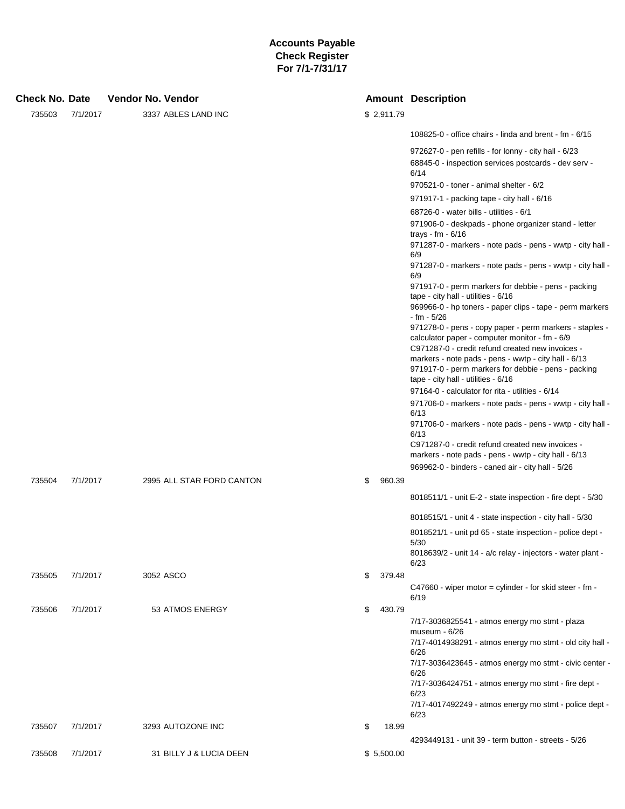| Check No. Date |          |  | Vendor No. Vendor         |              | <b>Amount Description</b>                                                                                                                                     |
|----------------|----------|--|---------------------------|--------------|---------------------------------------------------------------------------------------------------------------------------------------------------------------|
| 735503         | 7/1/2017 |  | 3337 ABLES LAND INC       | \$2,911.79   |                                                                                                                                                               |
|                |          |  |                           |              | 108825-0 - office chairs - linda and brent - fm - 6/15                                                                                                        |
|                |          |  |                           |              | 972627-0 - pen refills - for lonny - city hall - 6/23                                                                                                         |
|                |          |  |                           |              | 68845-0 - inspection services postcards - dev serv -<br>6/14                                                                                                  |
|                |          |  |                           |              | 970521-0 - toner - animal shelter - 6/2                                                                                                                       |
|                |          |  |                           |              | 971917-1 - packing tape - city hall - 6/16                                                                                                                    |
|                |          |  |                           |              | 68726-0 - water bills - utilities - 6/1                                                                                                                       |
|                |          |  |                           |              | 971906-0 - deskpads - phone organizer stand - letter<br>trays - fm - $6/16$<br>971287-0 - markers - note pads - pens - wwtp - city hall -                     |
|                |          |  |                           |              | 6/9                                                                                                                                                           |
|                |          |  |                           |              | 971287-0 - markers - note pads - pens - wwtp - city hall -<br>6/9                                                                                             |
|                |          |  |                           |              | 971917-0 - perm markers for debbie - pens - packing<br>tape - city hall - utilities - 6/16                                                                    |
|                |          |  |                           |              | 969966-0 - hp toners - paper clips - tape - perm markers<br>- fm - 5/26                                                                                       |
|                |          |  |                           |              | 971278-0 - pens - copy paper - perm markers - staples -<br>calculator paper - computer monitor - fm - 6/9                                                     |
|                |          |  |                           |              | C971287-0 - credit refund created new invoices -<br>markers - note pads - pens - wwtp - city hall - 6/13                                                      |
|                |          |  |                           |              | 971917-0 - perm markers for debbie - pens - packing<br>tape - city hall - utilities - 6/16                                                                    |
|                |          |  |                           |              | 97164-0 - calculator for rita - utilities - 6/14                                                                                                              |
|                |          |  |                           |              | 971706-0 - markers - note pads - pens - wwtp - city hall -<br>6/13                                                                                            |
|                |          |  |                           |              | 971706-0 - markers - note pads - pens - wwtp - city hall -<br>6/13                                                                                            |
|                |          |  |                           |              | C971287-0 - credit refund created new invoices -<br>markers - note pads - pens - wwtp - city hall - 6/13<br>969962-0 - binders - caned air - city hall - 5/26 |
| 735504         | 7/1/2017 |  | 2995 ALL STAR FORD CANTON | \$<br>960.39 |                                                                                                                                                               |
|                |          |  |                           |              | 8018511/1 - unit E-2 - state inspection - fire dept - 5/30                                                                                                    |
|                |          |  |                           |              | 8018515/1 - unit 4 - state inspection - city hall - 5/30                                                                                                      |
|                |          |  |                           |              | 8018521/1 - unit pd 65 - state inspection - police dept -<br>5/30                                                                                             |
|                |          |  |                           |              | 8018639/2 - unit 14 - a/c relay - injectors - water plant -<br>6/23                                                                                           |
| 735505         | 7/1/2017 |  | 3052 ASCO                 | \$<br>379.48 |                                                                                                                                                               |
|                |          |  |                           |              | C47660 - wiper motor = cylinder - for skid steer - fm -<br>6/19                                                                                               |
| 735506         | 7/1/2017 |  | 53 ATMOS ENERGY           | \$<br>430.79 |                                                                                                                                                               |
|                |          |  |                           |              | 7/17-3036825541 - atmos energy mo stmt - plaza<br>museum $-6/26$                                                                                              |
|                |          |  |                           |              | 7/17-4014938291 - atmos energy mo stmt - old city hall -<br>6/26                                                                                              |
|                |          |  |                           |              | 7/17-3036423645 - atmos energy mo stmt - civic center -<br>6/26                                                                                               |
|                |          |  |                           |              | 7/17-3036424751 - atmos energy mo stmt - fire dept -<br>6/23                                                                                                  |
|                |          |  |                           |              | 7/17-4017492249 - atmos energy mo stmt - police dept -<br>6/23                                                                                                |
| 735507         | 7/1/2017 |  | 3293 AUTOZONE INC         | \$<br>18.99  |                                                                                                                                                               |
|                |          |  |                           |              | 4293449131 - unit 39 - term button - streets - 5/26                                                                                                           |
| 735508         | 7/1/2017 |  | 31 BILLY J & LUCIA DEEN   | \$5,500.00   |                                                                                                                                                               |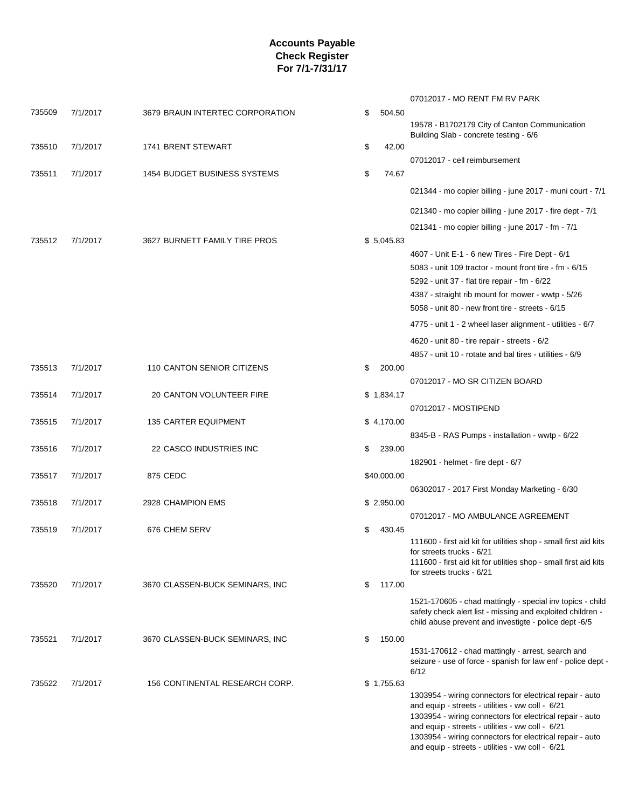|        |          |                                 |              | 07012017 - MO RENT FM RV PARK                                                                                       |
|--------|----------|---------------------------------|--------------|---------------------------------------------------------------------------------------------------------------------|
| 735509 | 7/1/2017 | 3679 BRAUN INTERTEC CORPORATION | \$<br>504.50 |                                                                                                                     |
|        |          |                                 |              | 19578 - B1702179 City of Canton Communication<br>Building Slab - concrete testing - 6/6                             |
| 735510 | 7/1/2017 | 1741 BRENT STEWART              | \$<br>42.00  |                                                                                                                     |
|        |          |                                 |              | 07012017 - cell reimbursement                                                                                       |
| 735511 | 7/1/2017 | 1454 BUDGET BUSINESS SYSTEMS    | \$<br>74.67  |                                                                                                                     |
|        |          |                                 |              | 021344 - mo copier billing - june 2017 - muni court - 7/1                                                           |
|        |          |                                 |              | 021340 - mo copier billing - june 2017 - fire dept - 7/1                                                            |
|        |          |                                 |              | 021341 - mo copier billing - june 2017 - fm - 7/1                                                                   |
| 735512 | 7/1/2017 | 3627 BURNETT FAMILY TIRE PROS   | \$5,045.83   |                                                                                                                     |
|        |          |                                 |              | 4607 - Unit E-1 - 6 new Tires - Fire Dept - 6/1                                                                     |
|        |          |                                 |              | 5083 - unit 109 tractor - mount front tire - fm - 6/15                                                              |
|        |          |                                 |              | 5292 - unit 37 - flat tire repair - fm - 6/22                                                                       |
|        |          |                                 |              | 4387 - straight rib mount for mower - wwtp - 5/26                                                                   |
|        |          |                                 |              | 5058 - unit 80 - new front tire - streets - 6/15                                                                    |
|        |          |                                 |              | 4775 - unit 1 - 2 wheel laser alignment - utilities - 6/7                                                           |
|        |          |                                 |              | 4620 - unit 80 - tire repair - streets - 6/2                                                                        |
|        |          |                                 |              | 4857 - unit 10 - rotate and bal tires - utilities - 6/9                                                             |
| 735513 | 7/1/2017 | 110 CANTON SENIOR CITIZENS      | \$<br>200.00 |                                                                                                                     |
| 735514 | 7/1/2017 | 20 CANTON VOLUNTEER FIRE        | \$1,834.17   | 07012017 - MO SR CITIZEN BOARD                                                                                      |
|        |          |                                 |              | 07012017 - MOSTIPEND                                                                                                |
| 735515 | 7/1/2017 | <b>135 CARTER EQUIPMENT</b>     | \$4,170.00   |                                                                                                                     |
|        |          |                                 |              | 8345-B - RAS Pumps - installation - wwtp - 6/22                                                                     |
| 735516 | 7/1/2017 | 22 CASCO INDUSTRIES INC         | \$<br>239.00 |                                                                                                                     |
|        |          |                                 |              | 182901 - helmet - fire dept - 6/7                                                                                   |
| 735517 | 7/1/2017 | 875 CEDC                        | \$40,000.00  |                                                                                                                     |
| 735518 | 7/1/2017 | 2928 CHAMPION EMS               | \$2,950.00   | 06302017 - 2017 First Monday Marketing - 6/30                                                                       |
|        |          |                                 |              | 07012017 - MO AMBULANCE AGREEMENT                                                                                   |
| 735519 | 7/1/2017 | 676 CHEM SERV                   | \$<br>430.45 |                                                                                                                     |
|        |          |                                 |              | 111600 - first aid kit for utilities shop - small first aid kits                                                    |
|        |          |                                 |              | for streets trucks - 6/21<br>111600 - first aid kit for utilities shop - small first aid kits                       |
|        |          |                                 |              | for streets trucks - 6/21                                                                                           |
| 735520 | 7/1/2017 | 3670 CLASSEN-BUCK SEMINARS, INC | \$<br>117.00 |                                                                                                                     |
|        |          |                                 |              | 1521-170605 - chad mattingly - special inv topics - child                                                           |
|        |          |                                 |              | safety check alert list - missing and exploited children -<br>child abuse prevent and investigte - police dept -6/5 |
| 735521 | 7/1/2017 | 3670 CLASSEN-BUCK SEMINARS, INC | \$<br>150.00 |                                                                                                                     |
|        |          |                                 |              | 1531-170612 - chad mattingly - arrest, search and                                                                   |
|        |          |                                 |              | seizure - use of force - spanish for law enf - police dept -                                                        |
| 735522 | 7/1/2017 | 156 CONTINENTAL RESEARCH CORP.  | \$1,755.63   | 6/12                                                                                                                |
|        |          |                                 |              | 1303954 - wiring connectors for electrical repair - auto                                                            |
|        |          |                                 |              | and equip - streets - utilities - ww coll - 6/21<br>1303954 - wiring connectors for electrical repair - auto        |
|        |          |                                 |              | and equip - streets - utilities - ww coll - 6/21                                                                    |
|        |          |                                 |              | 1303954 - wiring connectors for electrical repair - auto                                                            |
|        |          |                                 |              | and equip - streets - utilities - ww coll - 6/21                                                                    |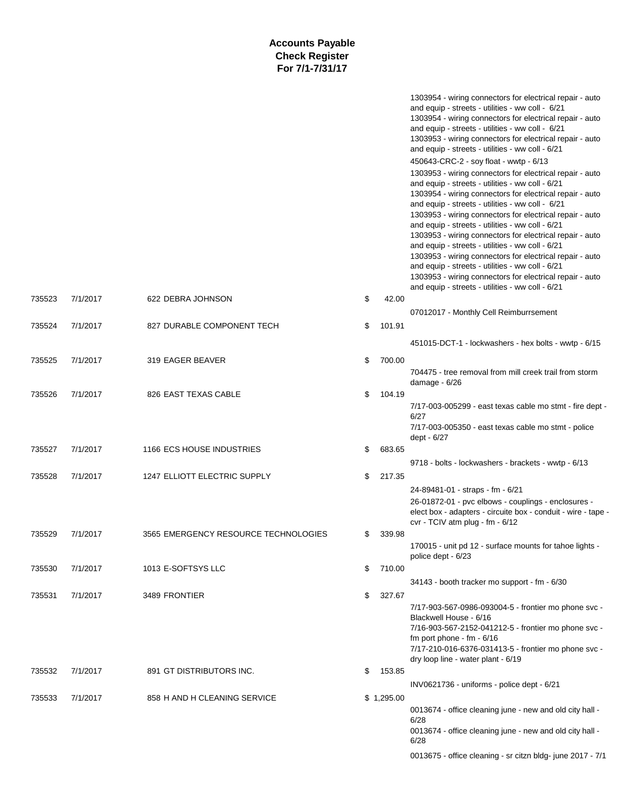|        |          |                                      |              | 1303954 - wiring connectors for electrical repair - auto<br>and equip - streets - utilities - ww coll - 6/21<br>1303954 - wiring connectors for electrical repair - auto<br>and equip - streets - utilities - ww coll - 6/21<br>1303953 - wiring connectors for electrical repair - auto<br>and equip - streets - utilities - ww coll - 6/21<br>450643-CRC-2 - soy float - wwtp - 6/13<br>1303953 - wiring connectors for electrical repair - auto<br>and equip - streets - utilities - ww coll - 6/21<br>1303954 - wiring connectors for electrical repair - auto<br>and equip - streets - utilities - ww coll - 6/21<br>1303953 - wiring connectors for electrical repair - auto<br>and equip - streets - utilities - ww coll - 6/21<br>1303953 - wiring connectors for electrical repair - auto<br>and equip - streets - utilities - ww coll - 6/21<br>1303953 - wiring connectors for electrical repair - auto<br>and equip - streets - utilities - ww coll - 6/21<br>1303953 - wiring connectors for electrical repair - auto |
|--------|----------|--------------------------------------|--------------|------------------------------------------------------------------------------------------------------------------------------------------------------------------------------------------------------------------------------------------------------------------------------------------------------------------------------------------------------------------------------------------------------------------------------------------------------------------------------------------------------------------------------------------------------------------------------------------------------------------------------------------------------------------------------------------------------------------------------------------------------------------------------------------------------------------------------------------------------------------------------------------------------------------------------------------------------------------------------------------------------------------------------------|
| 735523 | 7/1/2017 | 622 DEBRA JOHNSON                    | \$<br>42.00  | and equip - streets - utilities - ww coll - 6/21                                                                                                                                                                                                                                                                                                                                                                                                                                                                                                                                                                                                                                                                                                                                                                                                                                                                                                                                                                                   |
| 735524 |          |                                      |              | 07012017 - Monthly Cell Reimburrsement                                                                                                                                                                                                                                                                                                                                                                                                                                                                                                                                                                                                                                                                                                                                                                                                                                                                                                                                                                                             |
|        | 7/1/2017 | 827 DURABLE COMPONENT TECH           | \$<br>101.91 | 451015-DCT-1 - lockwashers - hex bolts - wwtp - 6/15                                                                                                                                                                                                                                                                                                                                                                                                                                                                                                                                                                                                                                                                                                                                                                                                                                                                                                                                                                               |
| 735525 | 7/1/2017 | 319 EAGER BEAVER                     | \$<br>700.00 |                                                                                                                                                                                                                                                                                                                                                                                                                                                                                                                                                                                                                                                                                                                                                                                                                                                                                                                                                                                                                                    |
|        |          |                                      |              | 704475 - tree removal from mill creek trail from storm<br>damage - 6/26                                                                                                                                                                                                                                                                                                                                                                                                                                                                                                                                                                                                                                                                                                                                                                                                                                                                                                                                                            |
| 735526 | 7/1/2017 | 826 EAST TEXAS CABLE                 | \$<br>104.19 |                                                                                                                                                                                                                                                                                                                                                                                                                                                                                                                                                                                                                                                                                                                                                                                                                                                                                                                                                                                                                                    |
|        |          |                                      |              | 7/17-003-005299 - east texas cable mo stmt - fire dept -<br>6/27<br>7/17-003-005350 - east texas cable mo stmt - police<br>dept - 6/27                                                                                                                                                                                                                                                                                                                                                                                                                                                                                                                                                                                                                                                                                                                                                                                                                                                                                             |
| 735527 | 7/1/2017 | 1166 ECS HOUSE INDUSTRIES            | \$<br>683.65 |                                                                                                                                                                                                                                                                                                                                                                                                                                                                                                                                                                                                                                                                                                                                                                                                                                                                                                                                                                                                                                    |
|        |          |                                      |              | 9718 - bolts - lockwashers - brackets - wwtp - 6/13                                                                                                                                                                                                                                                                                                                                                                                                                                                                                                                                                                                                                                                                                                                                                                                                                                                                                                                                                                                |
| 735528 | 7/1/2017 | 1247 ELLIOTT ELECTRIC SUPPLY         | \$<br>217.35 |                                                                                                                                                                                                                                                                                                                                                                                                                                                                                                                                                                                                                                                                                                                                                                                                                                                                                                                                                                                                                                    |
|        |          |                                      |              | 24-89481-01 - straps - fm - 6/21<br>26-01872-01 - pvc elbows - couplings - enclosures -<br>elect box - adapters - circuite box - conduit - wire - tape -<br>cvr - TCIV atm plug - fm - 6/12                                                                                                                                                                                                                                                                                                                                                                                                                                                                                                                                                                                                                                                                                                                                                                                                                                        |
| 735529 | 7/1/2017 | 3565 EMERGENCY RESOURCE TECHNOLOGIES | \$<br>339.98 |                                                                                                                                                                                                                                                                                                                                                                                                                                                                                                                                                                                                                                                                                                                                                                                                                                                                                                                                                                                                                                    |
|        |          |                                      |              | 170015 - unit pd 12 - surface mounts for tahoe lights -<br>police dept - 6/23                                                                                                                                                                                                                                                                                                                                                                                                                                                                                                                                                                                                                                                                                                                                                                                                                                                                                                                                                      |
| 735530 | 7/1/2017 | 1013 E-SOFTSYS LLC                   | \$<br>710.00 |                                                                                                                                                                                                                                                                                                                                                                                                                                                                                                                                                                                                                                                                                                                                                                                                                                                                                                                                                                                                                                    |
|        |          |                                      |              | 34143 - booth tracker mo support - fm - 6/30                                                                                                                                                                                                                                                                                                                                                                                                                                                                                                                                                                                                                                                                                                                                                                                                                                                                                                                                                                                       |
| 735531 | 7/1/2017 | 3489 FRONTIER                        | \$<br>327.67 |                                                                                                                                                                                                                                                                                                                                                                                                                                                                                                                                                                                                                                                                                                                                                                                                                                                                                                                                                                                                                                    |
|        |          |                                      |              | 7/17-903-567-0986-093004-5 - frontier mo phone svc -<br>Blackwell House - 6/16<br>7/16-903-567-2152-041212-5 - frontier mo phone svc -<br>fm port phone - $fm - 6/16$<br>7/17-210-016-6376-031413-5 - frontier mo phone svc -<br>dry loop line - water plant - 6/19                                                                                                                                                                                                                                                                                                                                                                                                                                                                                                                                                                                                                                                                                                                                                                |
| 735532 | 7/1/2017 | 891 GT DISTRIBUTORS INC.             | \$<br>153.85 |                                                                                                                                                                                                                                                                                                                                                                                                                                                                                                                                                                                                                                                                                                                                                                                                                                                                                                                                                                                                                                    |
|        |          |                                      |              | INV0621736 - uniforms - police dept - 6/21                                                                                                                                                                                                                                                                                                                                                                                                                                                                                                                                                                                                                                                                                                                                                                                                                                                                                                                                                                                         |
| 735533 | 7/1/2017 | 858 H AND H CLEANING SERVICE         | \$1,295.00   | 0013674 - office cleaning june - new and old city hall -<br>6/28<br>0013674 - office cleaning june - new and old city hall -<br>6/28<br>0013675 - office cleaning - sr citzn bldg- june 2017 - 7/1                                                                                                                                                                                                                                                                                                                                                                                                                                                                                                                                                                                                                                                                                                                                                                                                                                 |
|        |          |                                      |              |                                                                                                                                                                                                                                                                                                                                                                                                                                                                                                                                                                                                                                                                                                                                                                                                                                                                                                                                                                                                                                    |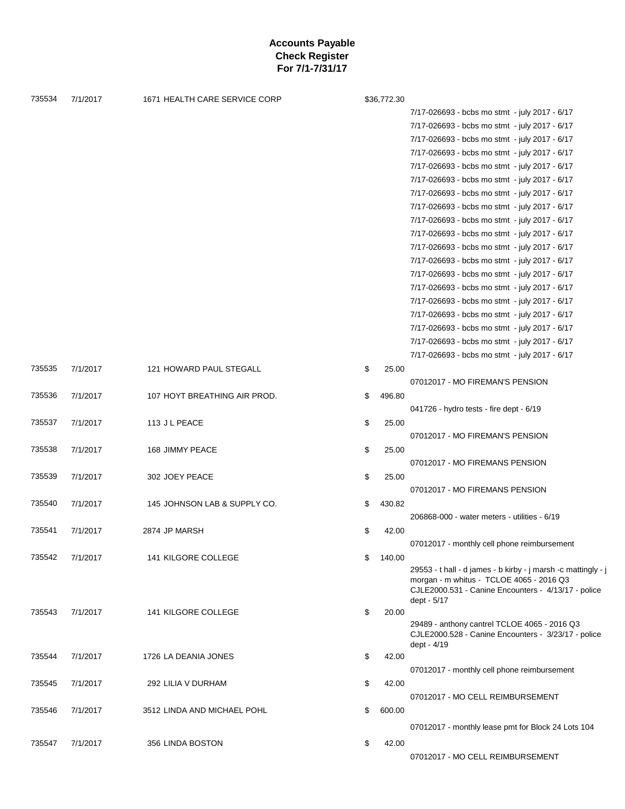| 735534 | 7/1/2017 | 1671 HEALTH CARE SERVICE CORP | \$36,772.30  |                                                                                                                                                                                 |
|--------|----------|-------------------------------|--------------|---------------------------------------------------------------------------------------------------------------------------------------------------------------------------------|
|        |          |                               |              | 7/17-026693 - bcbs mo stmt - july 2017 - 6/17                                                                                                                                   |
|        |          |                               |              | 7/17-026693 - bcbs mo stmt - july 2017 - 6/17                                                                                                                                   |
|        |          |                               |              | 7/17-026693 - bcbs mo stmt - july 2017 - 6/17                                                                                                                                   |
|        |          |                               |              | 7/17-026693 - bcbs mo stmt - july 2017 - 6/17                                                                                                                                   |
|        |          |                               |              | 7/17-026693 - bcbs mo stmt - july 2017 - 6/17                                                                                                                                   |
|        |          |                               |              | 7/17-026693 - bcbs mo stmt - july 2017 - 6/17                                                                                                                                   |
|        |          |                               |              | 7/17-026693 - bcbs mo stmt - july 2017 - 6/17                                                                                                                                   |
|        |          |                               |              | 7/17-026693 - bcbs mo stmt - july 2017 - 6/17                                                                                                                                   |
|        |          |                               |              | 7/17-026693 - bcbs mo stmt - july 2017 - 6/17                                                                                                                                   |
|        |          |                               |              | 7/17-026693 - bcbs mo stmt - july 2017 - 6/17                                                                                                                                   |
|        |          |                               |              | 7/17-026693 - bcbs mo stmt - july 2017 - 6/17                                                                                                                                   |
|        |          |                               |              | 7/17-026693 - bcbs mo stmt - july 2017 - 6/17                                                                                                                                   |
|        |          |                               |              | 7/17-026693 - bcbs mo stmt - july 2017 - 6/17                                                                                                                                   |
|        |          |                               |              | 7/17-026693 - bcbs mo stmt - july 2017 - 6/17                                                                                                                                   |
|        |          |                               |              | 7/17-026693 - bcbs mo stmt - july 2017 - 6/17                                                                                                                                   |
|        |          |                               |              | 7/17-026693 - bcbs mo stmt - july 2017 - 6/17                                                                                                                                   |
|        |          |                               |              | 7/17-026693 - bcbs mo stmt - july 2017 - 6/17                                                                                                                                   |
|        |          |                               |              |                                                                                                                                                                                 |
|        |          |                               |              | 7/17-026693 - bcbs mo stmt - july 2017 - 6/17                                                                                                                                   |
|        |          |                               |              | 7/17-026693 - bcbs mo stmt - july 2017 - 6/17                                                                                                                                   |
| 735535 | 7/1/2017 | 121 HOWARD PAUL STEGALL       | \$<br>25.00  |                                                                                                                                                                                 |
|        |          |                               |              | 07012017 - MO FIREMAN'S PENSION                                                                                                                                                 |
| 735536 | 7/1/2017 | 107 HOYT BREATHING AIR PROD.  | \$<br>496.80 |                                                                                                                                                                                 |
|        |          |                               |              | 041726 - hydro tests - fire dept - 6/19                                                                                                                                         |
| 735537 | 7/1/2017 | 113 J L PEACE                 | \$<br>25.00  |                                                                                                                                                                                 |
|        |          |                               |              | 07012017 - MO FIREMAN'S PENSION                                                                                                                                                 |
| 735538 | 7/1/2017 | 168 JIMMY PEACE               | \$<br>25.00  |                                                                                                                                                                                 |
|        |          |                               |              | 07012017 - MO FIREMANS PENSION                                                                                                                                                  |
| 735539 | 7/1/2017 | 302 JOEY PEACE                | \$<br>25.00  |                                                                                                                                                                                 |
|        |          |                               |              | 07012017 - MO FIREMANS PENSION                                                                                                                                                  |
| 735540 | 7/1/2017 | 145 JOHNSON LAB & SUPPLY CO.  | \$<br>430.82 |                                                                                                                                                                                 |
|        |          |                               |              | 206868-000 - water meters - utilities - 6/19                                                                                                                                    |
| 735541 | 7/1/2017 | 2874 JP MARSH                 | \$<br>42.00  |                                                                                                                                                                                 |
|        |          |                               |              | 07012017 - monthly cell phone reimbursement                                                                                                                                     |
| 735542 | 7/1/2017 | 141 KILGORE COLLEGE           | \$<br>140.00 |                                                                                                                                                                                 |
|        |          |                               |              | 29553 - t hall - d james - b kirby - j marsh -c mattingly - j<br>morgan - m whitus - TCLOE 4065 - 2016 Q3<br>CJLE2000.531 - Canine Encounters - 4/13/17 - police<br>dept - 5/17 |
| 735543 | 7/1/2017 | 141 KILGORE COLLEGE           | \$<br>20.00  |                                                                                                                                                                                 |
|        |          |                               |              | 29489 - anthony cantrel TCLOE 4065 - 2016 Q3<br>CJLE2000.528 - Canine Encounters - 3/23/17 - police<br>dept - 4/19                                                              |
| 735544 | 7/1/2017 | 1726 LA DEANIA JONES          | \$<br>42.00  |                                                                                                                                                                                 |
|        |          |                               |              | 07012017 - monthly cell phone reimbursement                                                                                                                                     |
| 735545 | 7/1/2017 | 292 LILIA V DURHAM            | \$<br>42.00  |                                                                                                                                                                                 |
|        |          |                               |              | 07012017 - MO CELL REIMBURSEMENT                                                                                                                                                |
| 735546 | 7/1/2017 | 3512 LINDA AND MICHAEL POHL   | \$<br>600.00 |                                                                                                                                                                                 |
|        |          |                               |              | 07012017 - monthly lease pmt for Block 24 Lots 104                                                                                                                              |
|        |          |                               |              |                                                                                                                                                                                 |
| 735547 | 7/1/2017 | 356 LINDA BOSTON              | \$<br>42.00  |                                                                                                                                                                                 |
|        |          |                               |              | 07012017 - MO CELL REIMBURSEMENT                                                                                                                                                |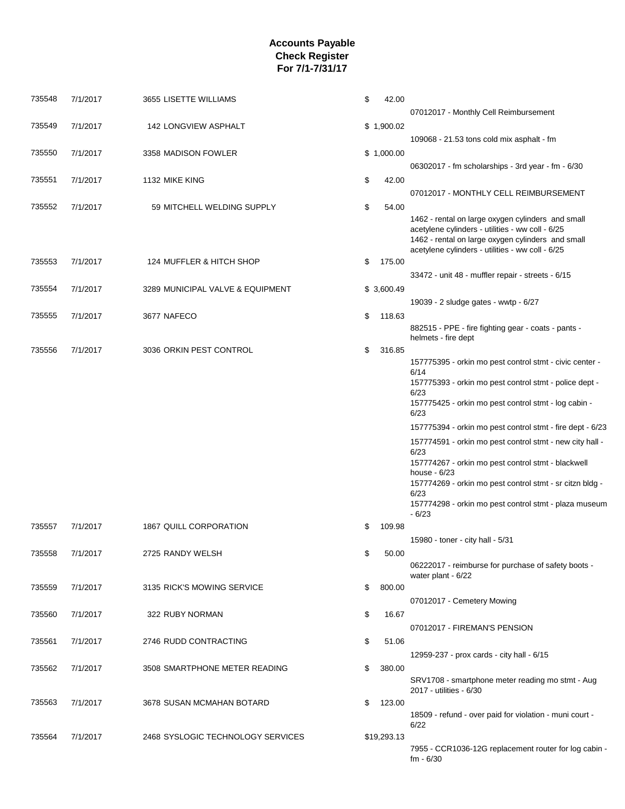| 735548 | 7/1/2017 | 3655 LISETTE WILLIAMS             | \$<br>42.00  |                                                                                                       |
|--------|----------|-----------------------------------|--------------|-------------------------------------------------------------------------------------------------------|
| 735549 | 7/1/2017 |                                   | \$1,900.02   | 07012017 - Monthly Cell Reimbursement                                                                 |
|        |          | <b>142 LONGVIEW ASPHALT</b>       |              | $109068 - 21.53$ tons cold mix asphalt - fm                                                           |
| 735550 | 7/1/2017 | 3358 MADISON FOWLER               | \$1,000.00   |                                                                                                       |
|        |          |                                   |              | 06302017 - fm scholarships - 3rd year - fm - 6/30                                                     |
| 735551 | 7/1/2017 | 1132 MIKE KING                    | \$<br>42.00  |                                                                                                       |
|        |          |                                   |              | 07012017 - MONTHLY CELL REIMBURSEMENT                                                                 |
| 735552 | 7/1/2017 | 59 MITCHELL WELDING SUPPLY        | \$<br>54.00  |                                                                                                       |
|        |          |                                   |              | 1462 - rental on large oxygen cylinders and small<br>acetylene cylinders - utilities - ww coll - 6/25 |
|        |          |                                   |              | 1462 - rental on large oxygen cylinders and small                                                     |
|        |          |                                   |              | acetylene cylinders - utilities - ww coll - 6/25                                                      |
| 735553 | 7/1/2017 | 124 MUFFLER & HITCH SHOP          | \$<br>175.00 |                                                                                                       |
| 735554 | 7/1/2017 | 3289 MUNICIPAL VALVE & EQUIPMENT  | \$3,600.49   | 33472 - unit 48 - muffler repair - streets - 6/15                                                     |
|        |          |                                   |              | 19039 - 2 sludge gates - wwtp - 6/27                                                                  |
| 735555 | 7/1/2017 | 3677 NAFECO                       | \$<br>118.63 |                                                                                                       |
|        |          |                                   |              | 882515 - PPE - fire fighting gear - coats - pants -                                                   |
|        |          |                                   |              | helmets - fire dept                                                                                   |
| 735556 | 7/1/2017 | 3036 ORKIN PEST CONTROL           | \$<br>316.85 | 157775395 - orkin mo pest control stmt - civic center -                                               |
|        |          |                                   |              | 6/14                                                                                                  |
|        |          |                                   |              | 157775393 - orkin mo pest control stmt - police dept -                                                |
|        |          |                                   |              | 6/23<br>157775425 - orkin mo pest control stmt - log cabin -                                          |
|        |          |                                   |              | 6/23<br>157775394 - orkin mo pest control stmt - fire dept - 6/23                                     |
|        |          |                                   |              | 157774591 - orkin mo pest control stmt - new city hall -                                              |
|        |          |                                   |              | 6/23                                                                                                  |
|        |          |                                   |              | 157774267 - orkin mo pest control stmt - blackwell                                                    |
|        |          |                                   |              | house $-6/23$<br>157774269 - orkin mo pest control stmt - sr citzn bldg -                             |
|        |          |                                   |              | 6/23                                                                                                  |
|        |          |                                   |              | 157774298 - orkin mo pest control stmt - plaza museum<br>$-6/23$                                      |
| 735557 | 7/1/2017 | 1867 QUILL CORPORATION            | \$<br>109.98 |                                                                                                       |
|        |          |                                   |              | 15980 - toner - city hall - 5/31                                                                      |
| 735558 | 7/1/2017 | 2725 RANDY WELSH                  | \$<br>50.00  |                                                                                                       |
|        |          |                                   |              | 06222017 - reimburse for purchase of safety boots -<br>water plant - 6/22                             |
| 735559 | 7/1/2017 | 3135 RICK'S MOWING SERVICE        | \$<br>800.00 |                                                                                                       |
|        |          |                                   |              | 07012017 - Cemetery Mowing                                                                            |
| 735560 | 7/1/2017 | 322 RUBY NORMAN                   | \$<br>16.67  |                                                                                                       |
|        |          |                                   |              | 07012017 - FIREMAN'S PENSION                                                                          |
| 735561 | 7/1/2017 | 2746 RUDD CONTRACTING             | \$<br>51.06  |                                                                                                       |
|        |          |                                   |              | 12959-237 - prox cards - city hall - 6/15                                                             |
| 735562 | 7/1/2017 | 3508 SMARTPHONE METER READING     | \$<br>380.00 | SRV1708 - smartphone meter reading mo stmt - Aug                                                      |
|        |          |                                   |              | 2017 - utilities - 6/30                                                                               |
| 735563 | 7/1/2017 | 3678 SUSAN MCMAHAN BOTARD         | \$<br>123.00 |                                                                                                       |
|        |          |                                   |              | 18509 - refund - over paid for violation - muni court -<br>6/22                                       |
| 735564 | 7/1/2017 | 2468 SYSLOGIC TECHNOLOGY SERVICES | \$19,293.13  |                                                                                                       |
|        |          |                                   |              | 7955 - CCR1036-12G replacement router for log cabin -                                                 |
|        |          |                                   |              | $fm - 6/30$                                                                                           |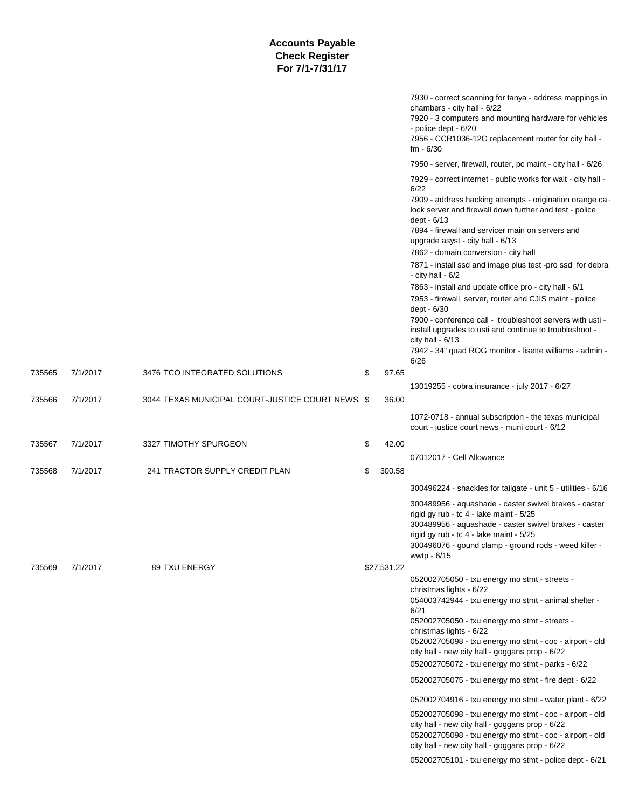|        |          | <b>Accounts Payable</b><br><b>Check Register</b><br>For 7/1-7/31/17 |              |                                                                                                                                                                                                                                                                              |
|--------|----------|---------------------------------------------------------------------|--------------|------------------------------------------------------------------------------------------------------------------------------------------------------------------------------------------------------------------------------------------------------------------------------|
|        |          |                                                                     |              | 7930 - correct scanning for tanya - address mappings in<br>chambers - city hall - 6/22<br>7920 - 3 computers and mounting hardware for vehicles<br>- police dept - 6/20<br>7956 - CCR1036-12G replacement router for city hall -<br>$fm - 6/30$                              |
|        |          |                                                                     |              | 7950 - server, firewall, router, pc maint - city hall - 6/26                                                                                                                                                                                                                 |
|        |          |                                                                     |              | 7929 - correct internet - public works for walt - city hall -<br>6/22<br>7909 - address hacking attempts - origination orange ca<br>lock server and firewall down further and test - police<br>dept - 6/13<br>7894 - firewall and servicer main on servers and               |
|        |          |                                                                     |              | upgrade asyst - city hall - 6/13<br>7862 - domain conversion - city hall                                                                                                                                                                                                     |
|        |          |                                                                     |              | 7871 - install ssd and image plus test -pro ssd for debra<br>- city hall - $6/2$                                                                                                                                                                                             |
|        |          |                                                                     |              | 7863 - install and update office pro - city hall - 6/1<br>7953 - firewall, server, router and CJIS maint - police<br>dept - 6/30                                                                                                                                             |
|        |          |                                                                     |              | 7900 - conference call - troubleshoot servers with usti -<br>install upgrades to usti and continue to troubleshoot -<br>city hall - $6/13$                                                                                                                                   |
|        |          |                                                                     |              | 7942 - 34" quad ROG monitor - lisette williams - admin -<br>6/26                                                                                                                                                                                                             |
| 735565 | 7/1/2017 | 3476 TCO INTEGRATED SOLUTIONS                                       | \$<br>97.65  |                                                                                                                                                                                                                                                                              |
|        |          |                                                                     |              | 13019255 - cobra insurance - july 2017 - 6/27                                                                                                                                                                                                                                |
| 735566 | 7/1/2017 | 3044 TEXAS MUNICIPAL COURT-JUSTICE COURT NEWS \$                    | 36.00        |                                                                                                                                                                                                                                                                              |
|        |          |                                                                     |              | 1072-0718 - annual subscription - the texas municipal<br>court - justice court news - muni court - 6/12                                                                                                                                                                      |
| 735567 | 7/1/2017 | 3327 TIMOTHY SPURGEON                                               | \$<br>42.00  |                                                                                                                                                                                                                                                                              |
|        |          |                                                                     |              | 07012017 - Cell Allowance                                                                                                                                                                                                                                                    |
| 735568 | 7/1/2017 | 241 TRACTOR SUPPLY CREDIT PLAN                                      | \$<br>300.58 |                                                                                                                                                                                                                                                                              |
|        |          |                                                                     |              | 300496224 - shackles for tailgate - unit 5 - utilities - 6/16                                                                                                                                                                                                                |
|        |          |                                                                     |              | 300489956 - aquashade - caster swivel brakes - caster<br>rigid gy rub - tc 4 - lake maint - 5/25<br>300489956 - aquashade - caster swivel brakes - caster<br>rigid gy rub - tc 4 - lake maint - 5/25<br>300496076 - gound clamp - ground rods - weed killer -<br>wwtp - 6/15 |
| 735569 | 7/1/2017 | 89 TXU ENERGY                                                       | \$27,531.22  |                                                                                                                                                                                                                                                                              |
|        |          |                                                                     |              | 052002705050 - txu energy mo stmt - streets -<br>christmas lights - 6/22<br>054003742944 - txu energy mo stmt - animal shelter -<br>6/21<br>052002705050 - txu energy mo stmt - streets -<br>christmas lights - 6/22                                                         |
|        |          |                                                                     |              | 052002705098 - txu energy mo stmt - coc - airport - old<br>city hall - new city hall - goggans prop - 6/22<br>052002705072 - txu energy mo stmt - parks - 6/22                                                                                                               |
|        |          |                                                                     |              | 052002705075 - txu energy mo stmt - fire dept - 6/22                                                                                                                                                                                                                         |
|        |          |                                                                     |              | 052002704916 - txu energy mo stmt - water plant - 6/22                                                                                                                                                                                                                       |
|        |          |                                                                     |              | 052002705098 - txu energy mo stmt - coc - airport - old<br>city hall - new city hall - goggans prop - 6/22<br>052002705098 - txu energy mo stmt - coc - airport - old<br>city hall - new city hall - goggans prop - 6/22                                                     |
|        |          |                                                                     |              | 052002705101 - txu energy mo stmt - police dept - 6/21                                                                                                                                                                                                                       |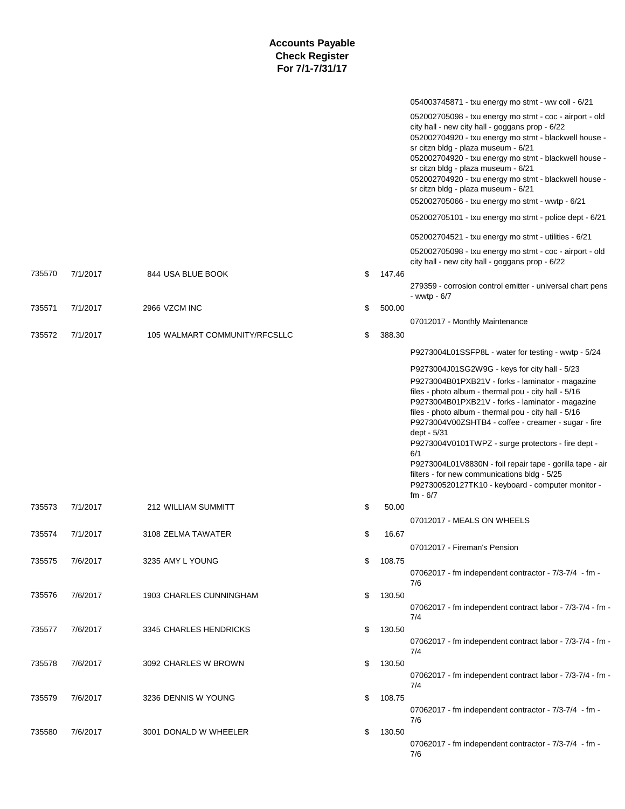|        |          |                               |              | 054003745871 - txu energy mo stmt - ww coll - 6/21                                                                                                                                                                                                                                                                                                                                                                                                                                                                                                                                       |
|--------|----------|-------------------------------|--------------|------------------------------------------------------------------------------------------------------------------------------------------------------------------------------------------------------------------------------------------------------------------------------------------------------------------------------------------------------------------------------------------------------------------------------------------------------------------------------------------------------------------------------------------------------------------------------------------|
|        |          |                               |              | 052002705098 - txu energy mo stmt - coc - airport - old<br>city hall - new city hall - goggans prop - 6/22<br>052002704920 - txu energy mo stmt - blackwell house -<br>sr citzn bldg - plaza museum - 6/21<br>052002704920 - txu energy mo stmt - blackwell house -<br>sr citzn bldg - plaza museum - 6/21<br>052002704920 - txu energy mo stmt - blackwell house -<br>sr citzn bldg - plaza museum - 6/21<br>052002705066 - txu energy mo stmt - wwtp - 6/21<br>052002705101 - txu energy mo stmt - police dept - 6/21                                                                  |
|        |          |                               |              | 052002704521 - txu energy mo stmt - utilities - 6/21                                                                                                                                                                                                                                                                                                                                                                                                                                                                                                                                     |
|        |          |                               |              | 052002705098 - txu energy mo stmt - coc - airport - old                                                                                                                                                                                                                                                                                                                                                                                                                                                                                                                                  |
| 735570 | 7/1/2017 | 844 USA BLUE BOOK             | \$<br>147.46 | city hall - new city hall - goggans prop - 6/22                                                                                                                                                                                                                                                                                                                                                                                                                                                                                                                                          |
|        |          |                               |              | 279359 - corrosion control emitter - universal chart pens<br>- wwtp - $6/7$                                                                                                                                                                                                                                                                                                                                                                                                                                                                                                              |
| 735571 | 7/1/2017 | 2966 VZCM INC                 | \$<br>500.00 |                                                                                                                                                                                                                                                                                                                                                                                                                                                                                                                                                                                          |
| 735572 | 7/1/2017 | 105 WALMART COMMUNITY/RFCSLLC | \$<br>388.30 | 07012017 - Monthly Maintenance                                                                                                                                                                                                                                                                                                                                                                                                                                                                                                                                                           |
|        |          |                               |              |                                                                                                                                                                                                                                                                                                                                                                                                                                                                                                                                                                                          |
|        |          |                               |              | P9273004L01SSFP8L - water for testing - wwtp - 5/24                                                                                                                                                                                                                                                                                                                                                                                                                                                                                                                                      |
|        |          |                               |              | P9273004J01SG2W9G - keys for city hall - 5/23<br>P9273004B01PXB21V - forks - laminator - magazine<br>files - photo album - thermal pou - city hall - 5/16<br>P9273004B01PXB21V - forks - laminator - magazine<br>files - photo album - thermal pou - city hall - 5/16<br>P9273004V00ZSHTB4 - coffee - creamer - sugar - fire<br>dept - 5/31<br>P9273004V0101TWPZ - surge protectors - fire dept -<br>6/1<br>P9273004L01V8830N - foil repair tape - gorilla tape - air<br>filters - for new communications bldg - 5/25<br>P927300520127TK10 - keyboard - computer monitor -<br>$fm - 6/7$ |
| 735573 | 7/1/2017 | 212 WILLIAM SUMMITT           | \$<br>50.00  |                                                                                                                                                                                                                                                                                                                                                                                                                                                                                                                                                                                          |
|        |          |                               |              | 07012017 - MEALS ON WHEELS                                                                                                                                                                                                                                                                                                                                                                                                                                                                                                                                                               |
| 735574 | 7/1/2017 | 3108 ZELMA TAWATER            | \$<br>16.67  | 07012017 - Fireman's Pension                                                                                                                                                                                                                                                                                                                                                                                                                                                                                                                                                             |
| 735575 | 7/6/2017 | 3235 AMY L YOUNG              | \$<br>108.75 |                                                                                                                                                                                                                                                                                                                                                                                                                                                                                                                                                                                          |
|        |          |                               |              | 07062017 - fm independent contractor - 7/3-7/4 - fm -<br>7/6                                                                                                                                                                                                                                                                                                                                                                                                                                                                                                                             |
| 735576 | 7/6/2017 | 1903 CHARLES CUNNINGHAM       | \$<br>130.50 | 07062017 - fm independent contract labor - 7/3-7/4 - fm -<br>7/4                                                                                                                                                                                                                                                                                                                                                                                                                                                                                                                         |
| 735577 | 7/6/2017 | 3345 CHARLES HENDRICKS        | \$<br>130.50 | 07062017 - fm independent contract labor - 7/3-7/4 - fm -                                                                                                                                                                                                                                                                                                                                                                                                                                                                                                                                |
|        |          |                               |              | 7/4                                                                                                                                                                                                                                                                                                                                                                                                                                                                                                                                                                                      |
| 735578 | 7/6/2017 | 3092 CHARLES W BROWN          | \$<br>130.50 | 07062017 - fm independent contract labor - 7/3-7/4 - fm -<br>7/4                                                                                                                                                                                                                                                                                                                                                                                                                                                                                                                         |
| 735579 | 7/6/2017 | 3236 DENNIS W YOUNG           | \$<br>108.75 |                                                                                                                                                                                                                                                                                                                                                                                                                                                                                                                                                                                          |
|        |          |                               |              | 07062017 - fm independent contractor - 7/3-7/4 - fm -<br>7/6                                                                                                                                                                                                                                                                                                                                                                                                                                                                                                                             |
| 735580 | 7/6/2017 | 3001 DONALD W WHEELER         | \$<br>130.50 | 07062017 - fm independent contractor - 7/3-7/4 - fm -<br>7/6                                                                                                                                                                                                                                                                                                                                                                                                                                                                                                                             |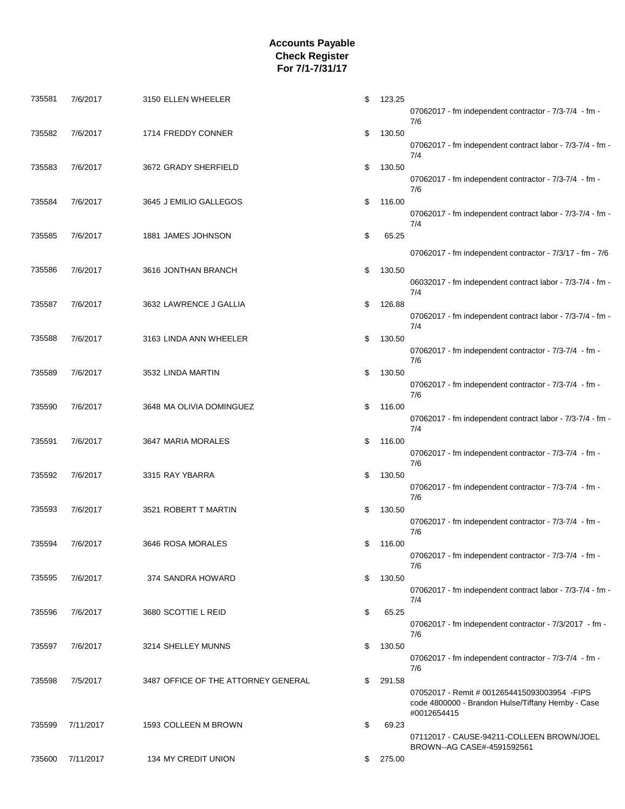| 735581 | 7/6/2017  | 3150 ELLEN WHEELER                  | \$<br>123.25 | 07062017 - fm independent contractor - 7/3-7/4 - fm -<br>7/6                                                          |
|--------|-----------|-------------------------------------|--------------|-----------------------------------------------------------------------------------------------------------------------|
| 735582 | 7/6/2017  | 1714 FREDDY CONNER                  | \$<br>130.50 | 07062017 - fm independent contract labor - 7/3-7/4 - fm -                                                             |
| 735583 | 7/6/2017  | 3672 GRADY SHERFIELD                | \$<br>130.50 | 7/4<br>07062017 - fm independent contractor - 7/3-7/4 - fm -                                                          |
| 735584 | 7/6/2017  | 3645 J EMILIO GALLEGOS              | \$<br>116.00 | 7/6<br>07062017 - fm independent contract labor - 7/3-7/4 - fm -                                                      |
| 735585 | 7/6/2017  | 1881 JAMES JOHNSON                  | \$<br>65.25  | 7/4                                                                                                                   |
| 735586 | 7/6/2017  | 3616 JONTHAN BRANCH                 | \$<br>130.50 | 07062017 - fm independent contractor - 7/3/17 - fm - 7/6<br>06032017 - fm independent contract labor - 7/3-7/4 - fm - |
| 735587 | 7/6/2017  | 3632 LAWRENCE J GALLIA              | \$<br>126.88 | 7/4                                                                                                                   |
| 735588 | 7/6/2017  | 3163 LINDA ANN WHEELER              | \$<br>130.50 | 07062017 - fm independent contract labor - 7/3-7/4 - fm -<br>7/4                                                      |
| 735589 | 7/6/2017  | 3532 LINDA MARTIN                   | \$<br>130.50 | 07062017 - fm independent contractor - 7/3-7/4 - fm -<br>7/6                                                          |
|        |           |                                     |              | 07062017 - fm independent contractor - 7/3-7/4 - fm -<br>7/6                                                          |
| 735590 | 7/6/2017  | 3648 MA OLIVIA DOMINGUEZ            | \$<br>116.00 | 07062017 - fm independent contract labor - 7/3-7/4 - fm -<br>7/4                                                      |
| 735591 | 7/6/2017  | 3647 MARIA MORALES                  | \$<br>116.00 | 07062017 - fm independent contractor - 7/3-7/4 - fm -<br>7/6                                                          |
| 735592 | 7/6/2017  | 3315 RAY YBARRA                     | \$<br>130.50 | 07062017 - fm independent contractor - 7/3-7/4 - fm -                                                                 |
| 735593 | 7/6/2017  | 3521 ROBERT T MARTIN                | \$<br>130.50 | 7/6<br>07062017 - fm independent contractor - 7/3-7/4 - fm -                                                          |
| 735594 | 7/6/2017  | 3646 ROSA MORALES                   | \$<br>116.00 | 7/6<br>07062017 - fm independent contractor - 7/3-7/4 - fm -                                                          |
| 735595 | 7/6/2017  | 374 SANDRA HOWARD                   | \$<br>130.50 | 7/6<br>07062017 - fm independent contract labor - 7/3-7/4 - fm -                                                      |
| 735596 | 7/6/2017  | 3680 SCOTTIE L REID                 | \$<br>65.25  | 7/4                                                                                                                   |
| 735597 | 7/6/2017  | 3214 SHELLEY MUNNS                  | \$<br>130.50 | 07062017 - fm independent contractor - 7/3/2017 - fm -<br>7/6                                                         |
| 735598 | 7/5/2017  | 3487 OFFICE OF THE ATTORNEY GENERAL | \$<br>291.58 | 07062017 - fm independent contractor - 7/3-7/4 - fm -<br>7/6                                                          |
|        |           |                                     |              | 07052017 - Remit # 0012654415093003954 - FIPS<br>code 4800000 - Brandon Hulse/Tiffany Hemby - Case<br>#0012654415     |
| 735599 | 7/11/2017 | 1593 COLLEEN M BROWN                | \$<br>69.23  | 07112017 - CAUSE-94211-COLLEEN BROWN/JOEL                                                                             |
| 735600 | 7/11/2017 | 134 MY CREDIT UNION                 | \$<br>275.00 | BROWN--AG CASE#-4591592561                                                                                            |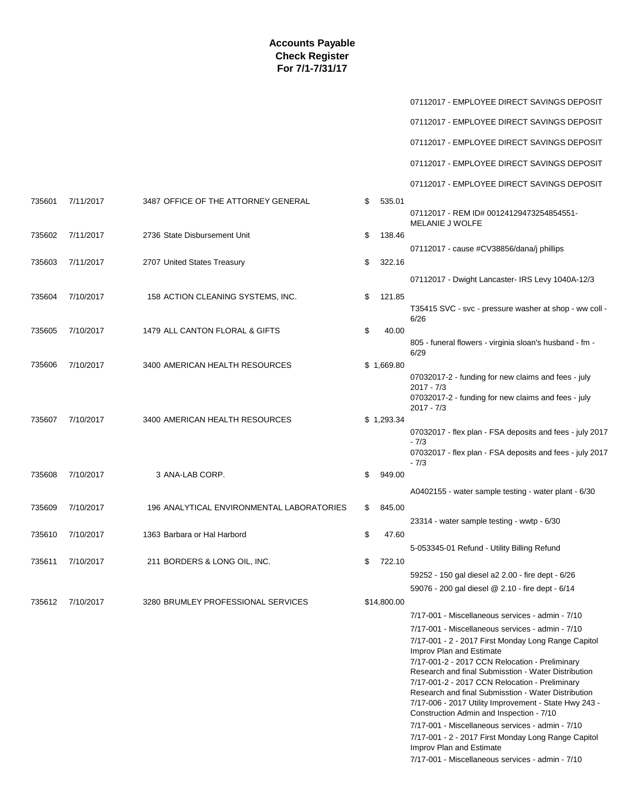|        |           |                                           |              | 07112017 - EMPLOYEE DIRECT SAVINGS DEPOSIT                                                            |
|--------|-----------|-------------------------------------------|--------------|-------------------------------------------------------------------------------------------------------|
|        |           |                                           |              | 07112017 - EMPLOYEE DIRECT SAVINGS DEPOSIT                                                            |
|        |           |                                           |              | 07112017 - EMPLOYEE DIRECT SAVINGS DEPOSIT                                                            |
|        |           |                                           |              | 07112017 - EMPLOYEE DIRECT SAVINGS DEPOSIT                                                            |
|        |           |                                           |              | 07112017 - EMPLOYEE DIRECT SAVINGS DEPOSIT                                                            |
| 735601 | 7/11/2017 | 3487 OFFICE OF THE ATTORNEY GENERAL       | \$<br>535.01 |                                                                                                       |
|        |           |                                           |              | 07112017 - REM ID# 00124129473254854551-<br>MELANIE J WOLFE                                           |
| 735602 | 7/11/2017 | 2736 State Disbursement Unit              | \$<br>138.46 | 07112017 - cause #CV38856/dana/j phillips                                                             |
| 735603 | 7/11/2017 | 2707 United States Treasury               | \$<br>322.16 |                                                                                                       |
|        |           |                                           |              | 07112017 - Dwight Lancaster- IRS Levy 1040A-12/3                                                      |
| 735604 | 7/10/2017 | 158 ACTION CLEANING SYSTEMS, INC.         | \$<br>121.85 |                                                                                                       |
|        |           |                                           |              | T35415 SVC - svc - pressure washer at shop - ww coll -<br>6/26                                        |
| 735605 | 7/10/2017 | 1479 ALL CANTON FLORAL & GIFTS            | \$<br>40.00  | 805 - funeral flowers - virginia sloan's husband - fm -                                               |
|        |           |                                           |              | 6/29                                                                                                  |
| 735606 | 7/10/2017 | 3400 AMERICAN HEALTH RESOURCES            | \$1,669.80   | 07032017-2 - funding for new claims and fees - july                                                   |
|        |           |                                           |              | $2017 - 7/3$<br>07032017-2 - funding for new claims and fees - july<br>$2017 - 7/3$                   |
| 735607 | 7/10/2017 | 3400 AMERICAN HEALTH RESOURCES            | \$1,293.34   |                                                                                                       |
|        |           |                                           |              | 07032017 - flex plan - FSA deposits and fees - july 2017<br>$-7/3$                                    |
|        |           |                                           |              | 07032017 - flex plan - FSA deposits and fees - july 2017<br>$-7/3$                                    |
| 735608 | 7/10/2017 | 3 ANA-LAB CORP.                           | \$<br>949.00 |                                                                                                       |
|        |           |                                           |              | A0402155 - water sample testing - water plant - 6/30                                                  |
| 735609 | 7/10/2017 | 196 ANALYTICAL ENVIRONMENTAL LABORATORIES | \$<br>845.00 | 23314 - water sample testing - wwtp - 6/30                                                            |
| 735610 | 7/10/2017 | 1363 Barbara or Hal Harbord               | \$<br>47.60  |                                                                                                       |
| 735611 | 7/10/2017 | 211 BORDERS & LONG OIL, INC.              | \$<br>722.10 | 5-053345-01 Refund - Utility Billing Refund                                                           |
|        |           |                                           |              | 59252 - 150 gal diesel a2 2.00 - fire dept - 6/26                                                     |
|        |           |                                           |              | 59076 - 200 gal diesel @ 2.10 - fire dept - 6/14                                                      |
| 735612 | 7/10/2017 | 3280 BRUMLEY PROFESSIONAL SERVICES        | \$14,800.00  | 7/17-001 - Miscellaneous services - admin - 7/10                                                      |
|        |           |                                           |              | 7/17-001 - Miscellaneous services - admin - 7/10                                                      |
|        |           |                                           |              | 7/17-001 - 2 - 2017 First Monday Long Range Capitol                                                   |
|        |           |                                           |              | Improv Plan and Estimate                                                                              |
|        |           |                                           |              | 7/17-001-2 - 2017 CCN Relocation - Preliminary                                                        |
|        |           |                                           |              | Research and final Submisstion - Water Distribution<br>7/17-001-2 - 2017 CCN Relocation - Preliminary |
|        |           |                                           |              | Research and final Submisstion - Water Distribution                                                   |
|        |           |                                           |              | 7/17-006 - 2017 Utility Improvement - State Hwy 243 -<br>Construction Admin and Inspection - 7/10     |
|        |           |                                           |              | 7/17-001 - Miscellaneous services - admin - 7/10                                                      |
|        |           |                                           |              | 7/17-001 - 2 - 2017 First Monday Long Range Capitol                                                   |
|        |           |                                           |              | Improv Plan and Estimate                                                                              |
|        |           |                                           |              | 7/17-001 - Miscellaneous services - admin - 7/10                                                      |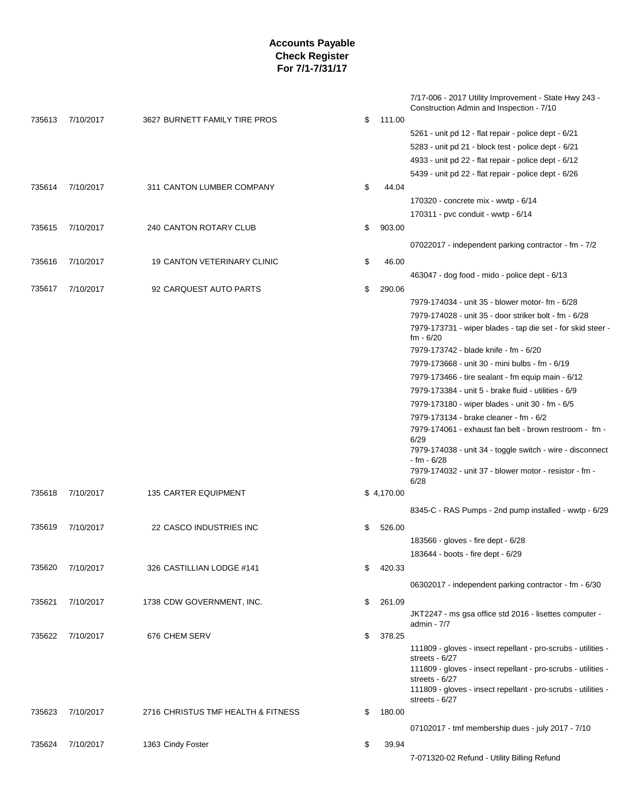| 735613 | 7/10/2017 | 3627 BURNETT FAMILY TIRE PROS      | \$<br>111.00 | 7/17-006 - 2017 Utility Improvement - State Hwy 243 -<br>Construction Admin and Inspection - 7/10 |
|--------|-----------|------------------------------------|--------------|---------------------------------------------------------------------------------------------------|
|        |           |                                    |              | 5261 - unit pd 12 - flat repair - police dept - 6/21                                              |
|        |           |                                    |              | 5283 - unit pd 21 - block test - police dept - 6/21                                               |
|        |           |                                    |              | 4933 - unit pd 22 - flat repair - police dept - 6/12                                              |
|        |           |                                    |              | 5439 - unit pd 22 - flat repair - police dept - 6/26                                              |
| 735614 | 7/10/2017 | 311 CANTON LUMBER COMPANY          | \$<br>44.04  |                                                                                                   |
|        |           |                                    |              | 170320 - concrete mix - wwtp - 6/14                                                               |
|        |           |                                    |              | 170311 - pvc conduit - wwtp - 6/14                                                                |
| 735615 | 7/10/2017 | 240 CANTON ROTARY CLUB             | \$<br>903.00 |                                                                                                   |
|        |           |                                    |              | 07022017 - independent parking contractor - fm - 7/2                                              |
| 735616 | 7/10/2017 | <b>19 CANTON VETERINARY CLINIC</b> | \$<br>46.00  |                                                                                                   |
|        |           |                                    |              | 463047 - dog food - mido - police dept - 6/13                                                     |
| 735617 | 7/10/2017 | 92 CARQUEST AUTO PARTS             | \$<br>290.06 |                                                                                                   |
|        |           |                                    |              | 7979-174034 - unit 35 - blower motor- fm - 6/28                                                   |
|        |           |                                    |              | 7979-174028 - unit 35 - door striker bolt - fm - 6/28                                             |
|        |           |                                    |              | 7979-173731 - wiper blades - tap die set - for skid steer -                                       |
|        |           |                                    |              | $fm - 6/20$                                                                                       |
|        |           |                                    |              | 7979-173742 - blade knife - fm - 6/20                                                             |
|        |           |                                    |              | 7979-173668 - unit 30 - mini bulbs - fm - 6/19                                                    |
|        |           |                                    |              | 7979-173466 - tire sealant - fm equip main - 6/12                                                 |
|        |           |                                    |              | 7979-173384 - unit 5 - brake fluid - utilities - 6/9                                              |
|        |           |                                    |              | 7979-173180 - wiper blades - unit 30 - fm - 6/5                                                   |
|        |           |                                    |              | 7979-173134 - brake cleaner - fm - 6/2<br>7979-174061 - exhaust fan belt - brown restroom - fm -  |
|        |           |                                    |              | 6/29                                                                                              |
|        |           |                                    |              | 7979-174038 - unit 34 - toggle switch - wire - disconnect                                         |
|        |           |                                    |              | - fm - 6/28<br>7979-174032 - unit 37 - blower motor - resistor - fm -                             |
|        |           |                                    |              | 6/28                                                                                              |
| 735618 | 7/10/2017 | <b>135 CARTER EQUIPMENT</b>        | \$4,170.00   |                                                                                                   |
|        |           |                                    |              | 8345-C - RAS Pumps - 2nd pump installed - wwtp - 6/29                                             |
| 735619 | 7/10/2017 | 22 CASCO INDUSTRIES INC            | \$<br>526.00 |                                                                                                   |
|        |           |                                    |              | 183566 - gloves - fire dept - 6/28                                                                |
|        |           |                                    |              | 183644 - boots - fire dept - 6/29                                                                 |
| 735620 | 7/10/2017 | 326 CASTILLIAN LODGE #141          | \$<br>420.33 |                                                                                                   |
|        |           |                                    |              | 06302017 - independent parking contractor - fm - 6/30                                             |
| 735621 | 7/10/2017 | 1738 CDW GOVERNMENT, INC.          | \$<br>261.09 |                                                                                                   |
|        |           |                                    |              | JKT2247 - ms gsa office std 2016 - lisettes computer -                                            |
|        |           |                                    |              | admin - 7/7                                                                                       |
| 735622 | 7/10/2017 | 676 CHEM SERV                      | \$<br>378.25 |                                                                                                   |
|        |           |                                    |              | 111809 - gloves - insect repellant - pro-scrubs - utilities -                                     |
|        |           |                                    |              | streets - $6/27$<br>111809 - gloves - insect repellant - pro-scrubs - utilities -                 |
|        |           |                                    |              | streets - $6/27$                                                                                  |
|        |           |                                    |              | 111809 - gloves - insect repellant - pro-scrubs - utilities -                                     |
| 735623 | 7/10/2017 | 2716 CHRISTUS TMF HEALTH & FITNESS | \$<br>180.00 | streets - 6/27                                                                                    |
|        |           |                                    |              |                                                                                                   |
|        |           |                                    |              | 07102017 - tmf membership dues - july 2017 - 7/10                                                 |
| 735624 | 7/10/2017 | 1363 Cindy Foster                  | \$<br>39.94  |                                                                                                   |
|        |           |                                    |              | 7-071320-02 Refund - Utility Billing Refund                                                       |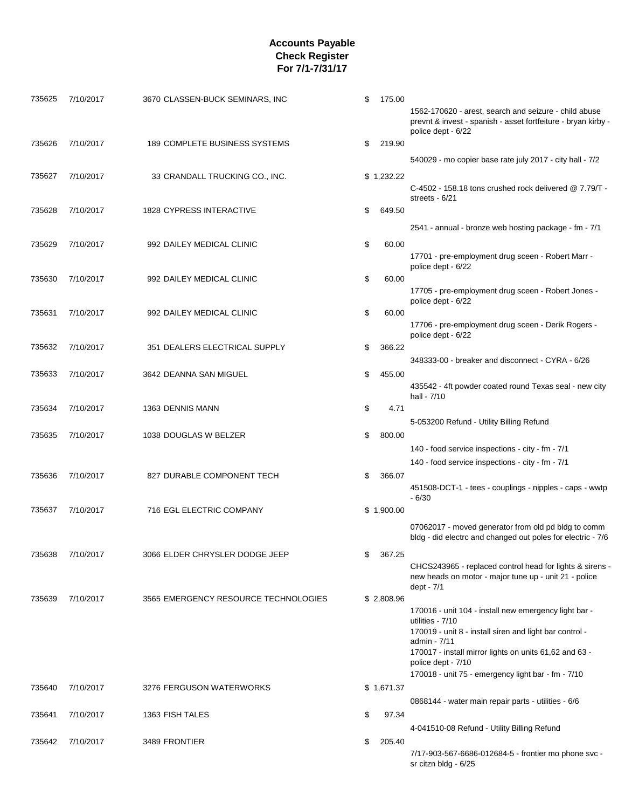| 735625 | 7/10/2017 | 3670 CLASSEN-BUCK SEMINARS, INC      | \$<br>175.00 | 1562-170620 - arest, search and seizure - child abuse<br>prevnt & invest - spanish - asset fortfeiture - bryan kirby -<br>police dept - 6/22                                                                                                                                               |
|--------|-----------|--------------------------------------|--------------|--------------------------------------------------------------------------------------------------------------------------------------------------------------------------------------------------------------------------------------------------------------------------------------------|
| 735626 | 7/10/2017 | 189 COMPLETE BUSINESS SYSTEMS        | \$<br>219.90 |                                                                                                                                                                                                                                                                                            |
|        |           |                                      |              | 540029 - mo copier base rate july 2017 - city hall - 7/2                                                                                                                                                                                                                                   |
| 735627 | 7/10/2017 | 33 CRANDALL TRUCKING CO., INC.       | \$1,232.22   | C-4502 - 158.18 tons crushed rock delivered $@$ 7.79/T -<br>streets - 6/21                                                                                                                                                                                                                 |
| 735628 | 7/10/2017 | <b>1828 CYPRESS INTERACTIVE</b>      | \$<br>649.50 | 2541 - annual - bronze web hosting package - fm - 7/1                                                                                                                                                                                                                                      |
| 735629 | 7/10/2017 | 992 DAILEY MEDICAL CLINIC            | \$<br>60.00  | 17701 - pre-employment drug sceen - Robert Marr -                                                                                                                                                                                                                                          |
| 735630 | 7/10/2017 | 992 DAILEY MEDICAL CLINIC            | \$<br>60.00  | police dept - 6/22<br>17705 - pre-employment drug sceen - Robert Jones -                                                                                                                                                                                                                   |
| 735631 | 7/10/2017 | 992 DAILEY MEDICAL CLINIC            | \$<br>60.00  | police dept - 6/22                                                                                                                                                                                                                                                                         |
| 735632 | 7/10/2017 | 351 DEALERS ELECTRICAL SUPPLY        | \$<br>366.22 | 17706 - pre-employment drug sceen - Derik Rogers -<br>police dept - 6/22                                                                                                                                                                                                                   |
|        |           |                                      |              | 348333-00 - breaker and disconnect - CYRA - 6/26                                                                                                                                                                                                                                           |
| 735633 | 7/10/2017 | 3642 DEANNA SAN MIGUEL               | \$<br>455.00 | 435542 - 4ft powder coated round Texas seal - new city<br>hall - 7/10                                                                                                                                                                                                                      |
| 735634 | 7/10/2017 | 1363 DENNIS MANN                     | \$<br>4.71   | 5-053200 Refund - Utility Billing Refund                                                                                                                                                                                                                                                   |
| 735635 | 7/10/2017 | 1038 DOUGLAS W BELZER                | \$<br>800.00 | 140 - food service inspections - city - fm - 7/1                                                                                                                                                                                                                                           |
|        |           |                                      |              | 140 - food service inspections - city - fm - 7/1                                                                                                                                                                                                                                           |
| 735636 | 7/10/2017 | 827 DURABLE COMPONENT TECH           | \$<br>366.07 | 451508-DCT-1 - tees - couplings - nipples - caps - wwtp<br>$-6/30$                                                                                                                                                                                                                         |
| 735637 | 7/10/2017 | 716 EGL ELECTRIC COMPANY             | \$1,900.00   |                                                                                                                                                                                                                                                                                            |
|        |           |                                      |              | 07062017 - moved generator from old pd bldg to comm<br>bldg - did electrc and changed out poles for electric - 7/6                                                                                                                                                                         |
| 735638 | 7/10/2017 | 3066 ELDER CHRYSLER DODGE JEEP       | \$<br>367.25 | CHCS243965 - replaced control head for lights & sirens -<br>new heads on motor - major tune up - unit 21 - police<br>dept - 7/1                                                                                                                                                            |
| 735639 | 7/10/2017 | 3565 EMERGENCY RESOURCE TECHNOLOGIES | \$2,808.96   | 170016 - unit 104 - install new emergency light bar -<br>utilities - 7/10<br>170019 - unit 8 - install siren and light bar control -<br>admin - 7/11<br>170017 - install mirror lights on units 61,62 and 63 -<br>police dept - 7/10<br>170018 - unit 75 - emergency light bar - fm - 7/10 |
| 735640 | 7/10/2017 | 3276 FERGUSON WATERWORKS             | \$1,671.37   | 0868144 - water main repair parts - utilities - 6/6                                                                                                                                                                                                                                        |
| 735641 | 7/10/2017 | 1363 FISH TALES                      | \$<br>97.34  |                                                                                                                                                                                                                                                                                            |
| 735642 | 7/10/2017 | 3489 FRONTIER                        | \$<br>205.40 | 4-041510-08 Refund - Utility Billing Refund                                                                                                                                                                                                                                                |
|        |           |                                      |              | 7/17-903-567-6686-012684-5 - frontier mo phone svc -<br>sr citzn bldg - 6/25                                                                                                                                                                                                               |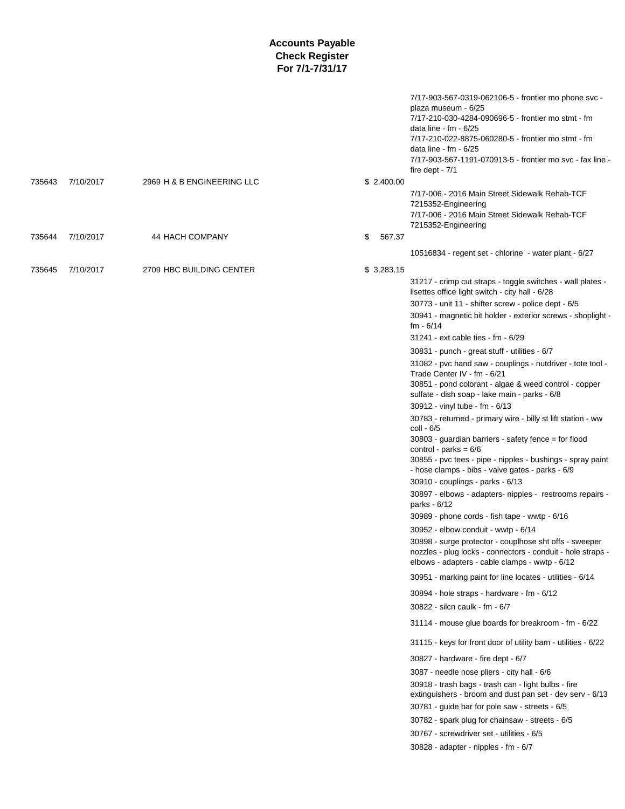|        |           |                            |              | 7/17-903-567-0319-062106-5 - frontier mo phone svc -<br>plaza museum - 6/25<br>7/17-210-030-4284-090696-5 - frontier mo stmt - fm<br>data line - $fm - 6/25$<br>7/17-210-022-8875-060280-5 - frontier mo stmt - fm<br>data line - $fm - 6/25$<br>7/17-903-567-1191-070913-5 - frontier mo svc - fax line -<br>fire dept - $7/1$                                                                                                                                                                                                                                                                                                                                                                                                                                                                                                                                                                                                                                                                                                                                                                                                                                                                                                                                                                                                                                                                                                                                                                                                                                                                                                                                                                                                                                                                                                                                                                                                  |
|--------|-----------|----------------------------|--------------|----------------------------------------------------------------------------------------------------------------------------------------------------------------------------------------------------------------------------------------------------------------------------------------------------------------------------------------------------------------------------------------------------------------------------------------------------------------------------------------------------------------------------------------------------------------------------------------------------------------------------------------------------------------------------------------------------------------------------------------------------------------------------------------------------------------------------------------------------------------------------------------------------------------------------------------------------------------------------------------------------------------------------------------------------------------------------------------------------------------------------------------------------------------------------------------------------------------------------------------------------------------------------------------------------------------------------------------------------------------------------------------------------------------------------------------------------------------------------------------------------------------------------------------------------------------------------------------------------------------------------------------------------------------------------------------------------------------------------------------------------------------------------------------------------------------------------------------------------------------------------------------------------------------------------------|
| 735643 | 7/10/2017 | 2969 H & B ENGINEERING LLC | \$2,400.00   | 7/17-006 - 2016 Main Street Sidewalk Rehab-TCF<br>7215352-Engineering<br>7/17-006 - 2016 Main Street Sidewalk Rehab-TCF<br>7215352-Engineering                                                                                                                                                                                                                                                                                                                                                                                                                                                                                                                                                                                                                                                                                                                                                                                                                                                                                                                                                                                                                                                                                                                                                                                                                                                                                                                                                                                                                                                                                                                                                                                                                                                                                                                                                                                   |
| 735644 | 7/10/2017 | 44 HACH COMPANY            | \$<br>567.37 | 10516834 - regent set - chlorine - water plant - 6/27                                                                                                                                                                                                                                                                                                                                                                                                                                                                                                                                                                                                                                                                                                                                                                                                                                                                                                                                                                                                                                                                                                                                                                                                                                                                                                                                                                                                                                                                                                                                                                                                                                                                                                                                                                                                                                                                            |
|        |           |                            |              |                                                                                                                                                                                                                                                                                                                                                                                                                                                                                                                                                                                                                                                                                                                                                                                                                                                                                                                                                                                                                                                                                                                                                                                                                                                                                                                                                                                                                                                                                                                                                                                                                                                                                                                                                                                                                                                                                                                                  |
| 735645 | 7/10/2017 | 2709 HBC BUILDING CENTER   | \$3,283.15   | 31217 - crimp cut straps - toggle switches - wall plates -<br>lisettes office light switch - city hall - 6/28<br>30773 - unit 11 - shifter screw - police dept - 6/5<br>30941 - magnetic bit holder - exterior screws - shoplight -<br>$fm - 6/14$<br>31241 - ext cable ties - fm - 6/29<br>30831 - punch - great stuff - utilities - 6/7<br>31082 - pvc hand saw - couplings - nutdriver - tote tool -<br>Trade Center IV - fm - 6/21<br>30851 - pond colorant - algae & weed control - copper<br>sulfate - dish soap - lake main - parks - 6/8<br>30912 - vinyl tube - fm - 6/13<br>30783 - returned - primary wire - billy st lift station - ww<br>coll - 6/5<br>30803 - guardian barriers - safety fence = for flood<br>control - parks = $6/6$<br>30855 - pvc tees - pipe - nipples - bushings - spray paint<br>- hose clamps - bibs - valve gates - parks - 6/9<br>30910 - couplings - parks - 6/13<br>30897 - elbows - adapters- nipples - restrooms repairs -<br>parks - 6/12<br>30989 - phone cords - fish tape - wwtp - 6/16<br>30952 - elbow conduit - wwtp - 6/14<br>30898 - surge protector - couplhose sht offs - sweeper<br>nozzles - plug locks - connectors - conduit - hole straps -<br>elbows - adapters - cable clamps - wwtp - 6/12<br>30951 - marking paint for line locates - utilities - 6/14<br>30894 - hole straps - hardware - fm - 6/12<br>30822 - silcn caulk - fm - 6/7<br>31114 - mouse glue boards for breakroom - fm - 6/22<br>31115 - keys for front door of utility barn - utilities - 6/22<br>30827 - hardware - fire dept - 6/7<br>3087 - needle nose pliers - city hall - 6/6<br>30918 - trash bags - trash can - light bulbs - fire<br>extinguishers - broom and dust pan set - dev serv - 6/13<br>30781 - guide bar for pole saw - streets - 6/5<br>30782 - spark plug for chainsaw - streets - 6/5<br>30767 - screwdriver set - utilities - 6/5<br>30828 - adapter - nipples - fm - 6/7 |
|        |           |                            |              |                                                                                                                                                                                                                                                                                                                                                                                                                                                                                                                                                                                                                                                                                                                                                                                                                                                                                                                                                                                                                                                                                                                                                                                                                                                                                                                                                                                                                                                                                                                                                                                                                                                                                                                                                                                                                                                                                                                                  |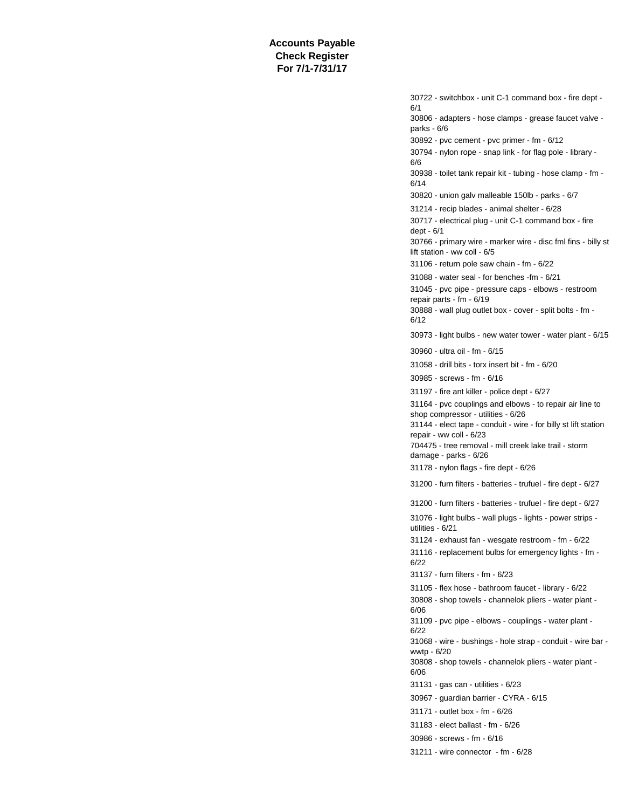30722 - switchbox - unit C-1 command box - fire dept - 6/1 30806 - adapters - hose clamps - grease faucet valve parks - 6/6 30892 - pvc cement - pvc primer - fm - 6/12 30794 - nylon rope - snap link - for flag pole - library - 6/6 30938 - toilet tank repair kit - tubing - hose clamp - fm - 6/14 30820 - union galv malleable 150lb - parks - 6/7 31214 - recip blades - animal shelter - 6/28 30717 - electrical plug - unit C-1 command box - fire dept - 6/1 30766 - primary wire - marker wire - disc fml fins - billy st lift station - ww coll - 6/5 31106 - return pole saw chain - fm - 6/22 31088 - water seal - for benches -fm - 6/21 31045 - pvc pipe - pressure caps - elbows - restroom repair parts - fm - 6/19 30888 - wall plug outlet box - cover - split bolts - fm - 6/12 30973 - light bulbs - new water tower - water plant - 6/15 30960 - ultra oil - fm - 6/15 31058 - drill bits - torx insert bit - fm - 6/20 30985 - screws - fm - 6/16 31197 - fire ant killer - police dept - 6/27 31164 - pvc couplings and elbows - to repair air line to shop compressor - utilities - 6/26 31144 - elect tape - conduit - wire - for billy st lift station repair - ww coll - 6/23 704475 - tree removal - mill creek lake trail - storm damage - parks - 6/26 31178 - nylon flags - fire dept - 6/26 31200 - furn filters - batteries - trufuel - fire dept - 6/27 31200 - furn filters - batteries - trufuel - fire dept - 6/27 31076 - light bulbs - wall plugs - lights - power strips utilities - 6/21 31124 - exhaust fan - wesgate restroom - fm - 6/22 31116 - replacement bulbs for emergency lights - fm - 6/22 31137 - furn filters - fm - 6/23 31105 - flex hose - bathroom faucet - library - 6/22 30808 - shop towels - channelok pliers - water plant - 6/06 31109 - pvc pipe - elbows - couplings - water plant - 6/22 31068 - wire - bushings - hole strap - conduit - wire bar wwtp - 6/20 30808 - shop towels - channelok pliers - water plant - 6/06 31131 - gas can - utilities - 6/23 30967 - guardian barrier - CYRA - 6/15 31171 - outlet box - fm - 6/26 31183 - elect ballast - fm - 6/26 30986 - screws - fm - 6/16 31211 - wire connector - fm - 6/28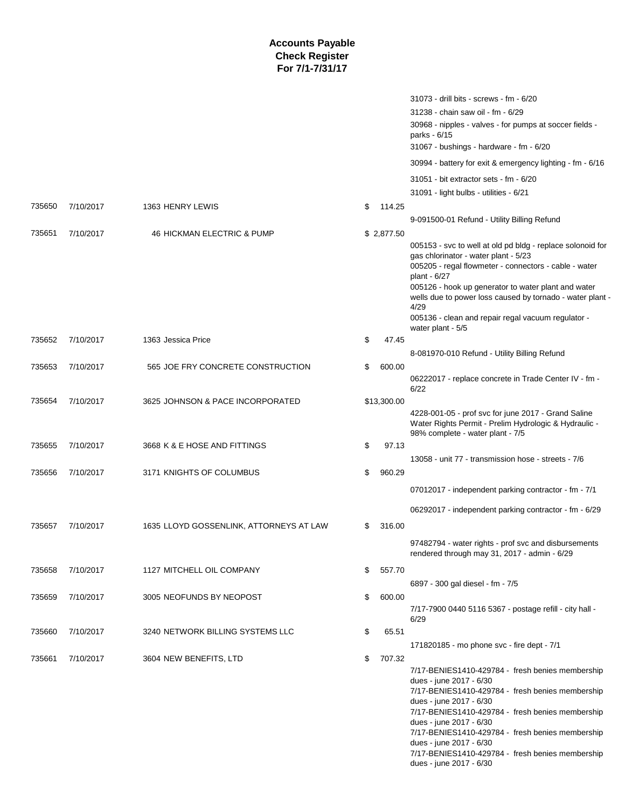|        |           |                                         |              | 31073 - drill bits - screws - fm - 6/20                                                                                                                                                                                                                                                                                                                                                                 |
|--------|-----------|-----------------------------------------|--------------|---------------------------------------------------------------------------------------------------------------------------------------------------------------------------------------------------------------------------------------------------------------------------------------------------------------------------------------------------------------------------------------------------------|
|        |           |                                         |              | 31238 - chain saw oil - fm - 6/29                                                                                                                                                                                                                                                                                                                                                                       |
|        |           |                                         |              | 30968 - nipples - valves - for pumps at soccer fields -<br>parks - 6/15                                                                                                                                                                                                                                                                                                                                 |
|        |           |                                         |              | 31067 - bushings - hardware - fm - 6/20                                                                                                                                                                                                                                                                                                                                                                 |
|        |           |                                         |              | 30994 - battery for exit & emergency lighting - fm - 6/16                                                                                                                                                                                                                                                                                                                                               |
|        |           |                                         |              | 31051 - bit extractor sets - fm - 6/20                                                                                                                                                                                                                                                                                                                                                                  |
|        |           |                                         |              | 31091 - light bulbs - utilities - 6/21                                                                                                                                                                                                                                                                                                                                                                  |
| 735650 | 7/10/2017 | 1363 HENRY LEWIS                        | \$<br>114.25 |                                                                                                                                                                                                                                                                                                                                                                                                         |
|        |           |                                         |              | 9-091500-01 Refund - Utility Billing Refund                                                                                                                                                                                                                                                                                                                                                             |
| 735651 | 7/10/2017 | 46 HICKMAN ELECTRIC & PUMP              | \$2,877.50   |                                                                                                                                                                                                                                                                                                                                                                                                         |
|        |           |                                         |              | 005153 - svc to well at old pd bldg - replace solonoid for<br>gas chlorinator - water plant - 5/23<br>005205 - regal flowmeter - connectors - cable - water<br>plant - 6/27<br>005126 - hook up generator to water plant and water<br>wells due to power loss caused by tornado - water plant -<br>4/29<br>005136 - clean and repair regal vacuum regulator -                                           |
|        |           |                                         |              | water plant - 5/5                                                                                                                                                                                                                                                                                                                                                                                       |
| 735652 | 7/10/2017 | 1363 Jessica Price                      | \$<br>47.45  |                                                                                                                                                                                                                                                                                                                                                                                                         |
|        |           |                                         |              | 8-081970-010 Refund - Utility Billing Refund                                                                                                                                                                                                                                                                                                                                                            |
| 735653 | 7/10/2017 | 565 JOE FRY CONCRETE CONSTRUCTION       | \$<br>600.00 | 06222017 - replace concrete in Trade Center IV - fm -                                                                                                                                                                                                                                                                                                                                                   |
| 735654 | 7/10/2017 | 3625 JOHNSON & PACE INCORPORATED        | \$13,300.00  | 6/22                                                                                                                                                                                                                                                                                                                                                                                                    |
|        |           |                                         |              | 4228-001-05 - prof svc for june 2017 - Grand Saline<br>Water Rights Permit - Prelim Hydrologic & Hydraulic -<br>98% complete - water plant - 7/5                                                                                                                                                                                                                                                        |
| 735655 | 7/10/2017 | 3668 K & E HOSE AND FITTINGS            | \$<br>97.13  |                                                                                                                                                                                                                                                                                                                                                                                                         |
|        |           |                                         |              | 13058 - unit 77 - transmission hose - streets - 7/6                                                                                                                                                                                                                                                                                                                                                     |
| 735656 | 7/10/2017 | 3171 KNIGHTS OF COLUMBUS                | \$<br>960.29 |                                                                                                                                                                                                                                                                                                                                                                                                         |
|        |           |                                         |              | 07012017 - independent parking contractor - fm - 7/1                                                                                                                                                                                                                                                                                                                                                    |
|        |           |                                         |              | 06292017 - independent parking contractor - fm - 6/29                                                                                                                                                                                                                                                                                                                                                   |
| 735657 | 7/10/2017 | 1635 LLOYD GOSSENLINK, ATTORNEYS AT LAW | \$<br>316.00 |                                                                                                                                                                                                                                                                                                                                                                                                         |
|        |           |                                         |              | 97482794 - water rights - prof svc and disbursements<br>rendered through may 31, 2017 - admin - 6/29                                                                                                                                                                                                                                                                                                    |
| 735658 | 7/10/2017 | 1127 MITCHELL OIL COMPANY               | \$<br>557.70 |                                                                                                                                                                                                                                                                                                                                                                                                         |
|        |           |                                         |              | 6897 - 300 gal diesel - fm - 7/5                                                                                                                                                                                                                                                                                                                                                                        |
| 735659 | 7/10/2017 | 3005 NEOFUNDS BY NEOPOST                | \$<br>600.00 |                                                                                                                                                                                                                                                                                                                                                                                                         |
|        |           |                                         |              | 7/17-7900 0440 5116 5367 - postage refill - city hall -<br>6/29                                                                                                                                                                                                                                                                                                                                         |
| 735660 | 7/10/2017 | 3240 NETWORK BILLING SYSTEMS LLC        | \$<br>65.51  |                                                                                                                                                                                                                                                                                                                                                                                                         |
|        |           |                                         |              | 171820185 - mo phone svc - fire dept - 7/1                                                                                                                                                                                                                                                                                                                                                              |
| 735661 | 7/10/2017 | 3604 NEW BENEFITS, LTD                  | \$<br>707.32 |                                                                                                                                                                                                                                                                                                                                                                                                         |
|        |           |                                         |              | 7/17-BENIES1410-429784 - fresh benies membership<br>dues - june 2017 - 6/30<br>7/17-BENIES1410-429784 - fresh benies membership<br>dues - june 2017 - 6/30<br>7/17-BENIES1410-429784 - fresh benies membership<br>dues - june 2017 - 6/30<br>7/17-BENIES1410-429784 - fresh benies membership<br>dues - june 2017 - 6/30<br>7/17-BENIES1410-429784 - fresh benies membership<br>dues - june 2017 - 6/30 |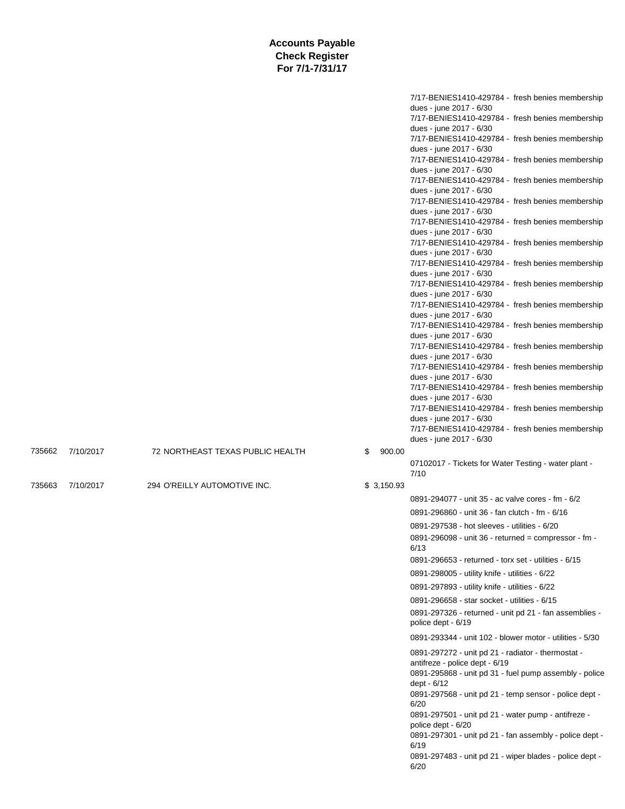|        |           |                                  |              | 7/17-BENIES1410-429784 - fresh benies membership                              |
|--------|-----------|----------------------------------|--------------|-------------------------------------------------------------------------------|
|        |           |                                  |              | dues - june 2017 - 6/30<br>7/17-BENIES1410-429784 - fresh benies membership   |
|        |           |                                  |              | dues - june 2017 - 6/30                                                       |
|        |           |                                  |              | 7/17-BENIES1410-429784 - fresh benies membership                              |
|        |           |                                  |              | dues - june 2017 - 6/30<br>7/17-BENIES1410-429784 - fresh benies membership   |
|        |           |                                  |              | dues - june 2017 - 6/30                                                       |
|        |           |                                  |              | 7/17-BENIES1410-429784 - fresh benies membership                              |
|        |           |                                  |              | dues - june 2017 - 6/30<br>7/17-BENIES1410-429784 - fresh benies membership   |
|        |           |                                  |              | dues - june 2017 - 6/30                                                       |
|        |           |                                  |              | 7/17-BENIES1410-429784 - fresh benies membership                              |
|        |           |                                  |              | dues - june 2017 - 6/30<br>7/17-BENIES1410-429784 - fresh benies membership   |
|        |           |                                  |              | dues - june 2017 - 6/30                                                       |
|        |           |                                  |              | 7/17-BENIES1410-429784 - fresh benies membership                              |
|        |           |                                  |              | dues - june 2017 - 6/30                                                       |
|        |           |                                  |              | 7/17-BENIES1410-429784 - fresh benies membership<br>dues - june 2017 - 6/30   |
|        |           |                                  |              | 7/17-BENIES1410-429784 - fresh benies membership                              |
|        |           |                                  |              | dues - june 2017 - 6/30                                                       |
|        |           |                                  |              | 7/17-BENIES1410-429784 - fresh benies membership<br>dues - june 2017 - 6/30   |
|        |           |                                  |              | 7/17-BENIES1410-429784 - fresh benies membership                              |
|        |           |                                  |              | dues - june 2017 - 6/30                                                       |
|        |           |                                  |              | 7/17-BENIES1410-429784 - fresh benies membership<br>dues - june 2017 - 6/30   |
|        |           |                                  |              | 7/17-BENIES1410-429784 - fresh benies membership                              |
|        |           |                                  |              | dues - june 2017 - 6/30                                                       |
|        |           |                                  |              | 7/17-BENIES1410-429784 - fresh benies membership                              |
|        |           |                                  |              | dues - june 2017 - 6/30<br>7/17-BENIES1410-429784 - fresh benies membership   |
|        |           |                                  |              | dues - june 2017 - 6/30                                                       |
| 735662 | 7/10/2017 | 72 NORTHEAST TEXAS PUBLIC HEALTH | 900.00<br>\$ |                                                                               |
|        |           |                                  |              | 07102017 - Tickets for Water Testing - water plant -<br>7/10                  |
| 735663 | 7/10/2017 | 294 O'REILLY AUTOMOTIVE INC.     | \$3,150.93   |                                                                               |
|        |           |                                  |              | 0891-294077 - unit 35 - ac valve cores - fm - 6/2                             |
|        |           |                                  |              | 0891-296860 - unit 36 - fan clutch - fm - 6/16                                |
|        |           |                                  |              | 0891-297538 - hot sleeves - utilities - 6/20                                  |
|        |           |                                  |              |                                                                               |
|        |           |                                  |              | 0891-296098 - unit 36 - returned = compressor - fm -                          |
|        |           |                                  |              | 6/13                                                                          |
|        |           |                                  |              | 0891-296653 - returned - torx set - utilities - 6/15                          |
|        |           |                                  |              | 0891-298005 - utility knife - utilities - 6/22                                |
|        |           |                                  |              | 0891-297893 - utility knife - utilities - 6/22                                |
|        |           |                                  |              | 0891-296658 - star socket - utilities - 6/15                                  |
|        |           |                                  |              | 0891-297326 - returned - unit pd 21 - fan assemblies -<br>police dept - 6/19  |
|        |           |                                  |              | 0891-293344 - unit 102 - blower motor - utilities - 5/30                      |
|        |           |                                  |              | 0891-297272 - unit pd 21 - radiator - thermostat -                            |
|        |           |                                  |              | antifreze - police dept - 6/19                                                |
|        |           |                                  |              | 0891-295868 - unit pd 31 - fuel pump assembly - police                        |
|        |           |                                  |              | dept - 6/12<br>0891-297568 - unit pd 21 - temp sensor - police dept -         |
|        |           |                                  |              | 6/20                                                                          |
|        |           |                                  |              | 0891-297501 - unit pd 21 - water pump - antifreze -                           |
|        |           |                                  |              | police dept - 6/20<br>0891-297301 - unit pd 21 - fan assembly - police dept - |
|        |           |                                  |              | 6/19<br>0891-297483 - unit pd 21 - wiper blades - police dept -               |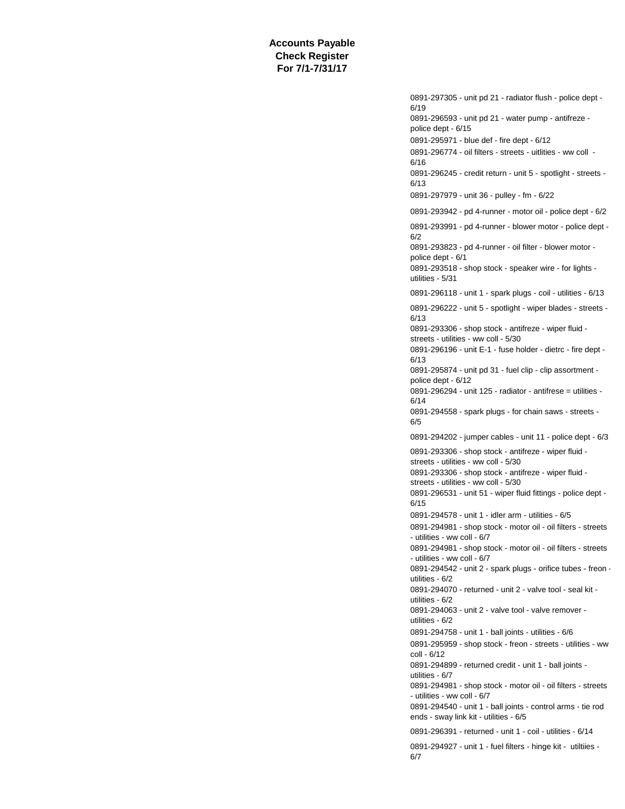0891-297305 - unit pd 21 - radiator flush - police dept - 6/19 0891-296593 - unit pd 21 - water pump - antifreze police dept - 6/15 0891-295971 - blue def - fire dept - 6/12 0891-296774 - oil filters - streets - uitlities - ww coll - 6/16 0891-296245 - credit return - unit 5 - spotlight - streets - 6/13 0891-297979 - unit 36 - pulley - fm - 6/22 0891-293942 - pd 4-runner - motor oil - police dept - 6/2 0891-293991 - pd 4-runner - blower motor - police dept - 6/2 0891-293823 - pd 4-runner - oil filter - blower motor police dept - 6/1 0891-293518 - shop stock - speaker wire - for lights utilities - 5/31 0891-296118 - unit 1 - spark plugs - coil - utilities - 6/13 0891-296222 - unit 5 - spotlight - wiper blades - streets - 6/13 0891-293306 - shop stock - antifreze - wiper fluid streets - utilities - ww coll - 5/30 0891-296196 - unit E-1 - fuse holder - dietrc - fire dept - 6/13 0891-295874 - unit pd 31 - fuel clip - clip assortment police dept - 6/12 0891-296294 - unit 125 - radiator - antifrese = utilities - 6/14 0891-294558 - spark plugs - for chain saws - streets - 6/5 0891-294202 - jumper cables - unit 11 - police dept - 6/3 0891-293306 - shop stock - antifreze - wiper fluid streets - utilities - ww coll - 5/30 0891-293306 - shop stock - antifreze - wiper fluid streets - utilities - ww coll - 5/30 0891-296531 - unit 51 - wiper fluid fittings - police dept - 6/15 0891-294578 - unit 1 - idler arm - utilities - 6/5 0891-294981 - shop stock - motor oil - oil filters - streets - utilities - ww coll - 6/7 0891-294981 - shop stock - motor oil - oil filters - streets - utilities - ww coll - 6/7 0891-294542 - unit 2 - spark plugs - orifice tubes - freon utilities - 6/2 0891-294070 - returned - unit 2 - valve tool - seal kit utilities - 6/2 0891-294063 - unit 2 - valve tool - valve remover utilities - 6/2 0891-294758 - unit 1 - ball joints - utilities - 6/6 0891-295959 - shop stock - freon - streets - utilities - ww coll - 6/12 0891-294899 - returned credit - unit 1 - ball joints utilities - 6/7 0891-294981 - shop stock - motor oil - oil filters - streets - utilities - ww coll - 6/7 0891-294540 - unit 1 - ball joints - control arms - tie rod ends - sway link kit - utilities - 6/5 0891-296391 - returned - unit 1 - coil - utilities - 6/14 0891-294927 - unit 1 - fuel filters - hinge kit - utiltiies - 6/7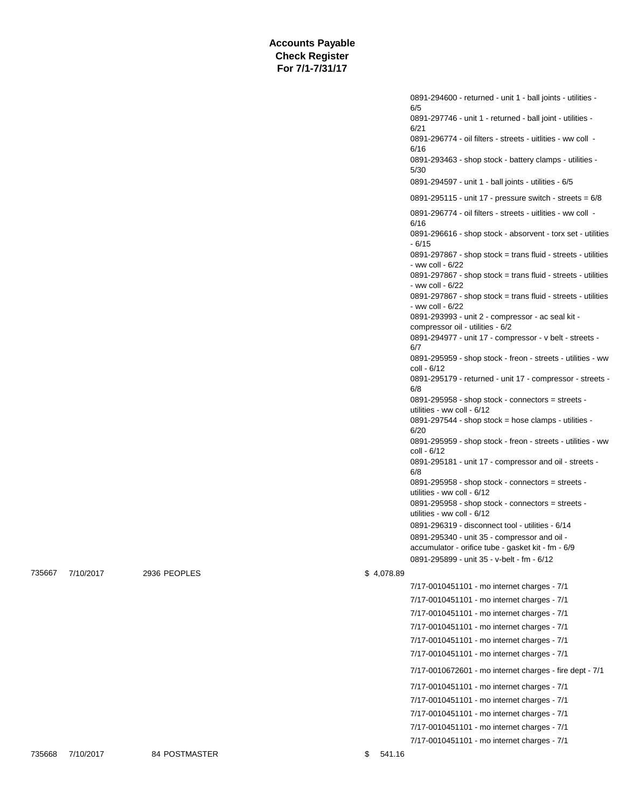|            | 0891-294600 - returned - unit 1 - ball joints - utilities -<br>6/5                               |
|------------|--------------------------------------------------------------------------------------------------|
|            | 0891-297746 - unit 1 - returned - ball joint - utilities -                                       |
|            | 6/21<br>0891-296774 - oil filters - streets - uitlities - ww coll -                              |
|            | 6/16<br>0891-293463 - shop stock - battery clamps - utilities -                                  |
|            | 5/30<br>0891-294597 - unit 1 - ball joints - utilities - 6/5                                     |
|            | 0891-295115 - unit 17 - pressure switch - streets = $6/8$                                        |
|            | 0891-296774 - oil filters - streets - uitlities - ww coll -                                      |
|            | 6/16<br>0891-296616 - shop stock - absorvent - torx set - utilities                              |
|            | - 6/15                                                                                           |
|            | 0891-297867 - shop stock = trans fluid - streets - utilities<br>- ww coll - 6/22                 |
|            | $0891-297867$ - shop stock = trans fluid - streets - utilities<br>- ww coll - 6/22               |
|            | 0891-297867 - shop stock = trans fluid - streets - utilities<br>- ww coll - 6/22                 |
|            | 0891-293993 - unit 2 - compressor - ac seal kit -<br>compressor oil - utilities - 6/2            |
|            | 0891-294977 - unit 17 - compressor - v belt - streets -                                          |
|            | 6/7<br>0891-295959 - shop stock - freon - streets - utilities - ww                               |
|            | coll - 6/12<br>0891-295179 - returned - unit 17 - compressor - streets -                         |
|            | 6/8                                                                                              |
|            | 0891-295958 - shop stock - connectors = streets -<br>utilities - ww coll - 6/12                  |
|            | 0891-297544 - shop stock = hose clamps - utilities -<br>6/20                                     |
|            | 0891-295959 - shop stock - freon - streets - utilities - ww<br>coll - 6/12                       |
|            | 0891-295181 - unit 17 - compressor and oil - streets -<br>6/8                                    |
|            | 0891-295958 - shop stock - connectors = streets -<br>utilities - ww coll - 6/12                  |
|            | 0891-295958 - shop stock - connectors = streets -<br>utilities - ww coll - 6/12                  |
|            | 0891-296319 - disconnect tool - utilities - 6/14                                                 |
|            | 0891-295340 - unit 35 - compressor and oil -                                                     |
|            | accumulator - orifice tube - gasket kit - fm - 6/9<br>0891-295899 - unit 35 - v-belt - fm - 6/12 |
| \$4,078.89 |                                                                                                  |
|            | 7/17-0010451101 - mo internet charges - 7/1                                                      |
|            | 7/17-0010451101 - mo internet charges - 7/1                                                      |
|            | 7/17-0010451101 - mo internet charges - 7/1                                                      |
|            | 7/17-0010451101 - mo internet charges - 7/1                                                      |
|            | 7/17-0010451101 - mo internet charges - 7/1                                                      |
|            | 7/17-0010451101 - mo internet charges - 7/1                                                      |
|            | 7/17-0010672601 - mo internet charges - fire dept - 7/1                                          |
|            | 7/17-0010451101 - mo internet charges - 7/1                                                      |
|            | 7/17-0010451101 - mo internet charges - 7/1                                                      |
|            | 7/17-0010451101 - mo internet charges - 7/1                                                      |
|            | 7/17-0010451101 - mo internet charges - 7/1                                                      |
|            | 7/17-0010451101 - mo internet charges - 7/1                                                      |

735668 7/10/2017 84 POSTMASTER \$ 541.16

735667 7/10/2017 2936 PEOPLES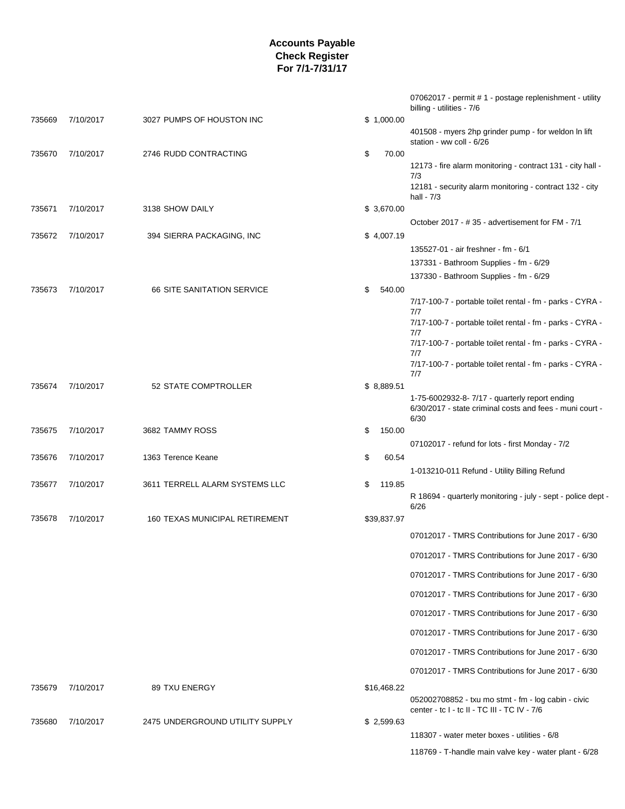|        |           |                                   |             |        | 07062017 - permit # 1 - postage replenishment - utility<br>billing - utilities - 7/6                              |
|--------|-----------|-----------------------------------|-------------|--------|-------------------------------------------------------------------------------------------------------------------|
| 735669 | 7/10/2017 | 3027 PUMPS OF HOUSTON INC         | \$1,000.00  |        | 401508 - myers 2hp grinder pump - for weldon In lift                                                              |
|        |           |                                   |             |        | station - ww coll - 6/26                                                                                          |
| 735670 | 7/10/2017 | 2746 RUDD CONTRACTING             | \$          | 70.00  | 12173 - fire alarm monitoring - contract 131 - city hall -                                                        |
|        |           |                                   |             |        | 7/3<br>12181 - security alarm monitoring - contract 132 - city<br>hall - $7/3$                                    |
| 735671 | 7/10/2017 | 3138 SHOW DAILY                   | \$3,670.00  |        |                                                                                                                   |
|        |           |                                   |             |        | October 2017 - #35 - advertisement for FM - 7/1                                                                   |
| 735672 | 7/10/2017 | 394 SIERRA PACKAGING, INC         | \$4,007.19  |        |                                                                                                                   |
|        |           |                                   |             |        | 135527-01 - air freshner - fm - 6/1                                                                               |
|        |           |                                   |             |        | 137331 - Bathroom Supplies - fm - 6/29                                                                            |
|        |           |                                   |             |        | 137330 - Bathroom Supplies - fm - 6/29                                                                            |
| 735673 | 7/10/2017 | <b>66 SITE SANITATION SERVICE</b> | \$          | 540.00 |                                                                                                                   |
|        |           |                                   |             |        | 7/17-100-7 - portable toilet rental - fm - parks - CYRA -                                                         |
|        |           |                                   |             |        | 7/7<br>7/17-100-7 - portable toilet rental - fm - parks - CYRA -<br>7/7                                           |
|        |           |                                   |             |        | 7/17-100-7 - portable toilet rental - fm - parks - CYRA -                                                         |
|        |           |                                   |             |        | 7/7<br>7/17-100-7 - portable toilet rental - fm - parks - CYRA -                                                  |
| 735674 | 7/10/2017 | 52 STATE COMPTROLLER              | \$8,889.51  |        | 7/7                                                                                                               |
|        |           |                                   |             |        | 1-75-6002932-8-7/17 - quarterly report ending<br>6/30/2017 - state criminal costs and fees - muni court -<br>6/30 |
| 735675 | 7/10/2017 | 3682 TAMMY ROSS                   | \$          | 150.00 |                                                                                                                   |
|        |           |                                   |             |        | 07102017 - refund for lots - first Monday - 7/2                                                                   |
| 735676 | 7/10/2017 | 1363 Terence Keane                | \$          | 60.54  |                                                                                                                   |
|        |           |                                   |             |        | 1-013210-011 Refund - Utility Billing Refund                                                                      |
| 735677 | 7/10/2017 | 3611 TERRELL ALARM SYSTEMS LLC    | \$          | 119.85 |                                                                                                                   |
|        |           |                                   |             |        | R 18694 - quarterly monitoring - july - sept - police dept -<br>6/26                                              |
| 735678 | 7/10/2017 | 160 TEXAS MUNICIPAL RETIREMENT    | \$39,837.97 |        |                                                                                                                   |
|        |           |                                   |             |        | 07012017 - TMRS Contributions for June 2017 - 6/30                                                                |
|        |           |                                   |             |        | 07012017 - TMRS Contributions for June 2017 - 6/30                                                                |
|        |           |                                   |             |        | 07012017 - TMRS Contributions for June 2017 - 6/30                                                                |
|        |           |                                   |             |        | 07012017 - TMRS Contributions for June 2017 - 6/30                                                                |
|        |           |                                   |             |        | 07012017 - TMRS Contributions for June 2017 - 6/30                                                                |
|        |           |                                   |             |        | 07012017 - TMRS Contributions for June 2017 - 6/30                                                                |
|        |           |                                   |             |        | 07012017 - TMRS Contributions for June 2017 - 6/30                                                                |
|        |           |                                   |             |        | 07012017 - TMRS Contributions for June 2017 - 6/30                                                                |
| 735679 | 7/10/2017 | 89 TXU ENERGY                     | \$16,468.22 |        |                                                                                                                   |
|        |           |                                   |             |        | 052002708852 - txu mo stmt - fm - log cabin - civic<br>center - tc I - tc II - TC III - TC IV - 7/6               |
| 735680 | 7/10/2017 | 2475 UNDERGROUND UTILITY SUPPLY   | \$2,599.63  |        |                                                                                                                   |
|        |           |                                   |             |        | 118307 - water meter boxes - utilities - 6/8                                                                      |
|        |           |                                   |             |        | 118769 - T-handle main valve key - water plant - 6/28                                                             |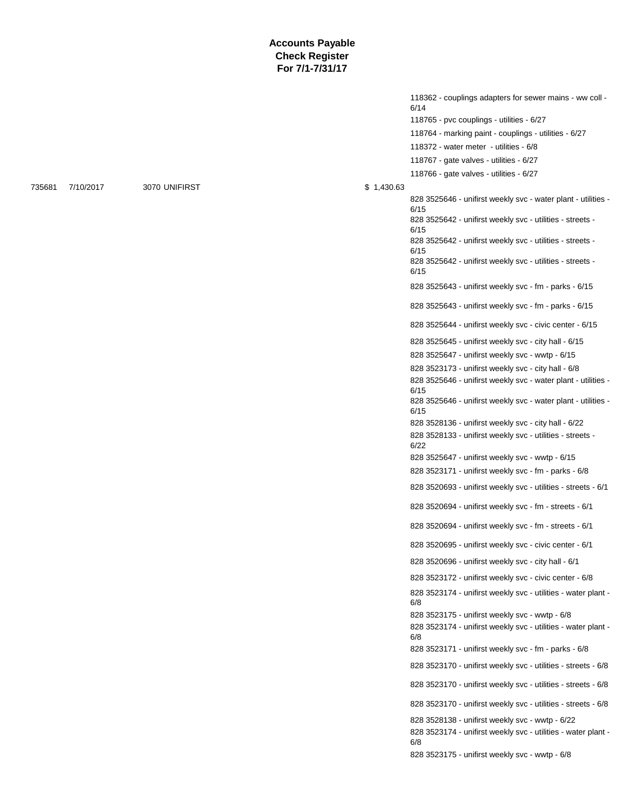118362 - couplings adapters for sewer mains - ww coll - 6/14 118765 - pvc couplings - utilities - 6/27 118764 - marking paint - couplings - utilities - 6/27 118372 - water meter - utilities - 6/8 118767 - gate valves - utilities - 6/27 118766 - gate valves - utilities - 6/27 828 3525646 - unifirst weekly svc - water plant - utilities - 6/15 828 3525642 - unifirst weekly svc - utilities - streets - 6/15 828 3525642 - unifirst weekly svc - utilities - streets - 6/15 828 3525642 - unifirst weekly svc - utilities - streets - 6/15 828 3525643 - unifirst weekly svc - fm - parks - 6/15 828 3525643 - unifirst weekly svc - fm - parks - 6/15 828 3525644 - unifirst weekly svc - civic center - 6/15 828 3525645 - unifirst weekly svc - city hall - 6/15 828 3525647 - unifirst weekly svc - wwtp - 6/15 828 3523173 - unifirst weekly svc - city hall - 6/8 828 3525646 - unifirst weekly svc - water plant - utilities - 6/15 828 3525646 - unifirst weekly svc - water plant - utilities - 6/15 828 3528136 - unifirst weekly svc - city hall - 6/22 828 3528133 - unifirst weekly svc - utilities - streets - 6/22 828 3525647 - unifirst weekly svc - wwtp - 6/15 828 3523171 - unifirst weekly svc - fm - parks - 6/8 828 3520693 - unifirst weekly svc - utilities - streets - 6/1 828 3520694 - unifirst weekly svc - fm - streets - 6/1 828 3520694 - unifirst weekly svc - fm - streets - 6/1 828 3520695 - unifirst weekly svc - civic center - 6/1 828 3520696 - unifirst weekly svc - city hall - 6/1 828 3523172 - unifirst weekly svc - civic center - 6/8 828 3523174 - unifirst weekly svc - utilities - water plant - 6/8 828 3523175 - unifirst weekly svc - wwtp - 6/8 828 3523174 - unifirst weekly svc - utilities - water plant - 6/8 828 3523171 - unifirst weekly svc - fm - parks - 6/8 828 3523170 - unifirst weekly svc - utilities - streets - 6/8 828 3523170 - unifirst weekly svc - utilities - streets - 6/8 828 3523170 - unifirst weekly svc - utilities - streets - 6/8 828 3528138 - unifirst weekly svc - wwtp - 6/22 828 3523174 - unifirst weekly svc - utilities - water plant - 6/8 828 3523175 - unifirst weekly svc - wwtp - 6/8

735681 7/10/2017 3070 UNIFIRST \$ 1,430.63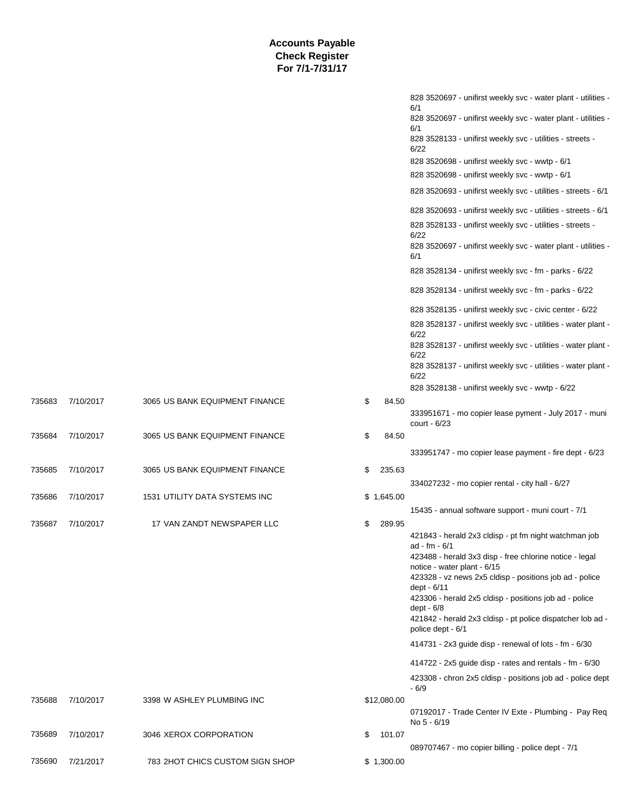|        |           |                                 |              | 828 3520697 - unifirst weekly svc - water plant - utilities -<br>6/1            |
|--------|-----------|---------------------------------|--------------|---------------------------------------------------------------------------------|
|        |           |                                 |              | 828 3520697 - unifirst weekly svc - water plant - utilities -<br>6/1            |
|        |           |                                 |              | 828 3528133 - unifirst weekly svc - utilities - streets -<br>6/22               |
|        |           |                                 |              | 828 3520698 - unifirst weekly svc - wwtp - 6/1                                  |
|        |           |                                 |              | 828 3520698 - unifirst weekly svc - wwtp - 6/1                                  |
|        |           |                                 |              | 828 3520693 - unifirst weekly svc - utilities - streets - 6/1                   |
|        |           |                                 |              | 828 3520693 - unifirst weekly svc - utilities - streets - 6/1                   |
|        |           |                                 |              | 828 3528133 - unifirst weekly svc - utilities - streets -<br>6/22               |
|        |           |                                 |              | 828 3520697 - unifirst weekly svc - water plant - utilities -<br>6/1            |
|        |           |                                 |              | 828 3528134 - unifirst weekly svc - fm - parks - 6/22                           |
|        |           |                                 |              | 828 3528134 - unifirst weekly svc - fm - parks - 6/22                           |
|        |           |                                 |              | 828 3528135 - unifirst weekly svc - civic center - 6/22                         |
|        |           |                                 |              | 828 3528137 - unifirst weekly svc - utilities - water plant -<br>6/22           |
|        |           |                                 |              | 828 3528137 - unifirst weekly svc - utilities - water plant -<br>6/22           |
|        |           |                                 |              | 828 3528137 - unifirst weekly svc - utilities - water plant -<br>6/22           |
|        |           |                                 |              | 828 3528138 - unifirst weekly svc - wwtp - 6/22                                 |
| 735683 | 7/10/2017 | 3065 US BANK EQUIPMENT FINANCE  | \$<br>84.50  |                                                                                 |
|        |           |                                 |              | 333951671 - mo copier lease pyment - July 2017 - muni<br>court - $6/23$         |
| 735684 | 7/10/2017 | 3065 US BANK EQUIPMENT FINANCE  | \$<br>84.50  |                                                                                 |
|        |           |                                 |              | 333951747 - mo copier lease payment - fire dept - 6/23                          |
| 735685 | 7/10/2017 | 3065 US BANK EQUIPMENT FINANCE  | \$<br>235.63 |                                                                                 |
|        |           |                                 |              | 334027232 - mo copier rental - city hall - 6/27                                 |
| 735686 | 7/10/2017 | 1531 UTILITY DATA SYSTEMS INC   | \$1,645.00   |                                                                                 |
|        |           |                                 |              | 15435 - annual software support - muni court - 7/1                              |
| 735687 | 7/10/2017 | 17 VAN ZANDT NEWSPAPER LLC      | \$<br>289.95 | 421843 - herald 2x3 cldisp - pt fm night watchman job                           |
|        |           |                                 |              | ad - fm - 6/1                                                                   |
|        |           |                                 |              | 423488 - herald 3x3 disp - free chlorine notice - legal                         |
|        |           |                                 |              | notice - water plant - 6/15                                                     |
|        |           |                                 |              | 423328 - vz news 2x5 cldisp - positions job ad - police<br>dept - 6/11          |
|        |           |                                 |              | 423306 - herald 2x5 cldisp - positions job ad - police                          |
|        |           |                                 |              | dept - $6/8$                                                                    |
|        |           |                                 |              | 421842 - herald 2x3 cldisp - pt police dispatcher lob ad -<br>police dept - 6/1 |
|        |           |                                 |              | 414731 - 2x3 guide disp - renewal of lots - fm - 6/30                           |
|        |           |                                 |              | 414722 - 2x5 guide disp - rates and rentals - fm - 6/30                         |
|        |           |                                 |              | 423308 - chron 2x5 cldisp - positions job ad - police dept<br>$-6/9$            |
| 735688 | 7/10/2017 | 3398 W ASHLEY PLUMBING INC      | \$12,080.00  |                                                                                 |
|        |           |                                 |              | 07192017 - Trade Center IV Exte - Plumbing - Pay Req<br>No 5 - 6/19             |
| 735689 | 7/10/2017 | 3046 XEROX CORPORATION          | \$<br>101.07 |                                                                                 |
|        |           |                                 |              | 089707467 - mo copier billing - police dept - 7/1                               |
| 735690 | 7/21/2017 | 783 2HOT CHICS CUSTOM SIGN SHOP | \$1,300.00   |                                                                                 |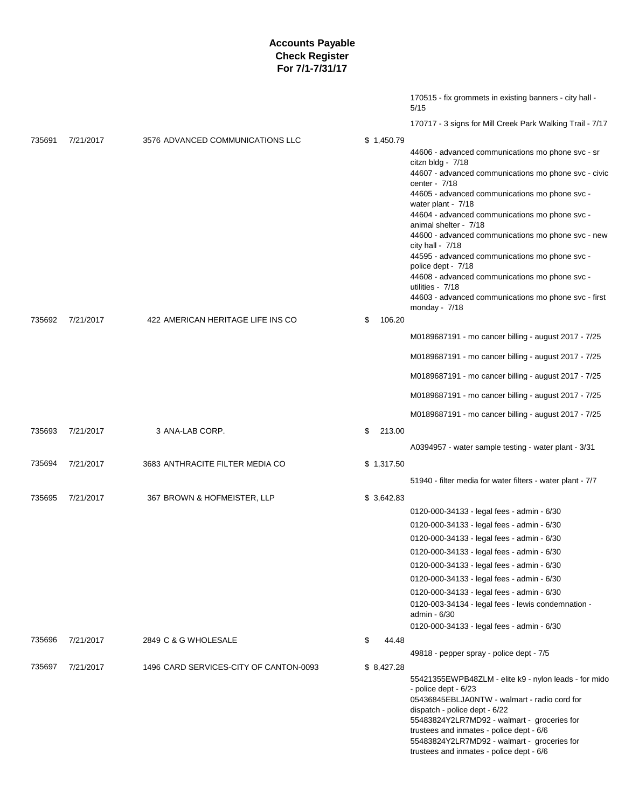|        |           |                                        |              | 170515 - fix grommets in existing banners - city hall -<br>5/15                                                                                                                                                                                                                                                                                                                                                                                                                                                                                                                                         |
|--------|-----------|----------------------------------------|--------------|---------------------------------------------------------------------------------------------------------------------------------------------------------------------------------------------------------------------------------------------------------------------------------------------------------------------------------------------------------------------------------------------------------------------------------------------------------------------------------------------------------------------------------------------------------------------------------------------------------|
|        |           |                                        |              | 170717 - 3 signs for Mill Creek Park Walking Trail - 7/17                                                                                                                                                                                                                                                                                                                                                                                                                                                                                                                                               |
| 735691 | 7/21/2017 | 3576 ADVANCED COMMUNICATIONS LLC       | \$1,450.79   | 44606 - advanced communications mo phone svc - sr<br>citzn bldg - 7/18<br>44607 - advanced communications mo phone svc - civic<br>center - 7/18<br>44605 - advanced communications mo phone svc -<br>water plant - 7/18<br>44604 - advanced communications mo phone svc -<br>animal shelter - 7/18<br>44600 - advanced communications mo phone svc - new<br>city hall - $7/18$<br>44595 - advanced communications mo phone svc -<br>police dept - 7/18<br>44608 - advanced communications mo phone svc -<br>utilities - 7/18<br>44603 - advanced communications mo phone svc - first<br>monday - $7/18$ |
| 735692 | 7/21/2017 | 422 AMERICAN HERITAGE LIFE INS CO      | 106.20<br>\$ |                                                                                                                                                                                                                                                                                                                                                                                                                                                                                                                                                                                                         |
|        |           |                                        |              | M0189687191 - mo cancer billing - august 2017 - 7/25                                                                                                                                                                                                                                                                                                                                                                                                                                                                                                                                                    |
|        |           |                                        |              | M0189687191 - mo cancer billing - august 2017 - 7/25                                                                                                                                                                                                                                                                                                                                                                                                                                                                                                                                                    |
|        |           |                                        |              | M0189687191 - mo cancer billing - august 2017 - 7/25                                                                                                                                                                                                                                                                                                                                                                                                                                                                                                                                                    |
|        |           |                                        |              | M0189687191 - mo cancer billing - august 2017 - 7/25                                                                                                                                                                                                                                                                                                                                                                                                                                                                                                                                                    |
|        |           |                                        |              | M0189687191 - mo cancer billing - august 2017 - 7/25                                                                                                                                                                                                                                                                                                                                                                                                                                                                                                                                                    |
| 735693 | 7/21/2017 | 3 ANA-LAB CORP.                        | 213.00<br>\$ |                                                                                                                                                                                                                                                                                                                                                                                                                                                                                                                                                                                                         |
|        |           |                                        |              | A0394957 - water sample testing - water plant - 3/31                                                                                                                                                                                                                                                                                                                                                                                                                                                                                                                                                    |
| 735694 | 7/21/2017 | 3683 ANTHRACITE FILTER MEDIA CO        | \$1,317.50   |                                                                                                                                                                                                                                                                                                                                                                                                                                                                                                                                                                                                         |
|        |           |                                        |              | 51940 - filter media for water filters - water plant - 7/7                                                                                                                                                                                                                                                                                                                                                                                                                                                                                                                                              |
| 735695 | 7/21/2017 | 367 BROWN & HOFMEISTER, LLP            | \$3,642.83   |                                                                                                                                                                                                                                                                                                                                                                                                                                                                                                                                                                                                         |
|        |           |                                        |              | 0120-000-34133 - legal fees - admin - 6/30                                                                                                                                                                                                                                                                                                                                                                                                                                                                                                                                                              |
|        |           |                                        |              | 0120-000-34133 - legal fees - admin - 6/30                                                                                                                                                                                                                                                                                                                                                                                                                                                                                                                                                              |
|        |           |                                        |              | 0120-000-34133 - legal fees - admin - 6/30                                                                                                                                                                                                                                                                                                                                                                                                                                                                                                                                                              |
|        |           |                                        |              | 0120-000-34133 - legal fees - admin - 6/30                                                                                                                                                                                                                                                                                                                                                                                                                                                                                                                                                              |
|        |           |                                        |              | 0120-000-34133 - legal fees - admin - 6/30                                                                                                                                                                                                                                                                                                                                                                                                                                                                                                                                                              |
|        |           |                                        |              | 0120-000-34133 - legal fees - admin - 6/30                                                                                                                                                                                                                                                                                                                                                                                                                                                                                                                                                              |
|        |           |                                        |              | 0120-000-34133 - legal fees - admin - 6/30                                                                                                                                                                                                                                                                                                                                                                                                                                                                                                                                                              |
|        |           |                                        |              | 0120-003-34134 - legal fees - lewis condemnation -<br>admin - 6/30                                                                                                                                                                                                                                                                                                                                                                                                                                                                                                                                      |
|        |           |                                        |              | 0120-000-34133 - legal fees - admin - 6/30                                                                                                                                                                                                                                                                                                                                                                                                                                                                                                                                                              |
| 735696 | 7/21/2017 | 2849 C & G WHOLESALE                   | \$<br>44.48  |                                                                                                                                                                                                                                                                                                                                                                                                                                                                                                                                                                                                         |
|        |           |                                        |              | 49818 - pepper spray - police dept - 7/5                                                                                                                                                                                                                                                                                                                                                                                                                                                                                                                                                                |
| 735697 | 7/21/2017 | 1496 CARD SERVICES-CITY OF CANTON-0093 | \$ 8,427.28  | 55421355EWPB48ZLM - elite k9 - nylon leads - for mido<br>- police dept - 6/23<br>05436845EBLJA0NTW - walmart - radio cord for<br>dispatch - police dept - 6/22<br>55483824Y2LR7MD92 - walmart - groceries for<br>trustees and inmates - police dept - 6/6<br>55483824Y2LR7MD92 - walmart - groceries for<br>trustees and inmates - police dept - 6/6                                                                                                                                                                                                                                                    |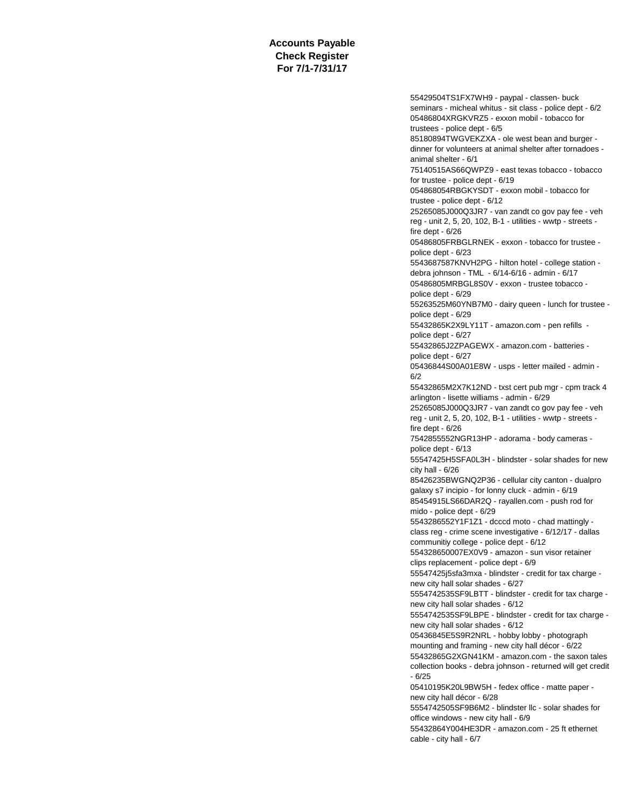> 55429504TS1FX7WH9 - paypal - classen- buck seminars - micheal whitus - sit class - police dept - 6/2 05486804XRGKVRZ5 - exxon mobil - tobacco for trustees - police dept - 6/5 85180894TWGVEKZXA - ole west bean and burger dinner for volunteers at animal shelter after tornadoes animal shelter - 6/1 75140515AS66QWPZ9 - east texas tobacco - tobacco for trustee - police dept - 6/19 054868054RBGKYSDT - exxon mobil - tobacco for trustee - police dept - 6/12 25265085J000Q3JR7 - van zandt co gov pay fee - veh reg - unit 2, 5, 20, 102, B-1 - utilities - wwtp - streets fire dept - 6/26 05486805FRBGLRNEK - exxon - tobacco for trustee police dept - 6/23 5543687587KNVH2PG - hilton hotel - college station debra johnson - TML - 6/14-6/16 - admin - 6/17 05486805MRBGL8S0V - exxon - trustee tobacco police dept - 6/29 55263525M60YNB7M0 - dairy queen - lunch for trustee police dept - 6/29 55432865K2X9LY11T - amazon.com - pen refills police dept - 6/27 55432865J2ZPAGEWX - amazon.com - batteries police dept - 6/27 05436844S00A01E8W - usps - letter mailed - admin - 6/2 55432865M2X7K12ND - txst cert pub mgr - cpm track 4 arlington - lisette williams - admin - 6/29 25265085J000Q3JR7 - van zandt co gov pay fee - veh reg - unit 2, 5, 20, 102, B-1 - utilities - wwtp - streets fire dept - 6/26 7542855552NGR13HP - adorama - body cameras police dept - 6/13 55547425H5SFA0L3H - blindster - solar shades for new city hall - 6/26 85426235BWGNQ2P36 - cellular city canton - dualpro galaxy s7 incipio - for lonny cluck - admin - 6/19 85454915LS66DAR2Q - rayallen.com - push rod for mido - police dept - 6/29 5543286552Y1F1Z1 - dcccd moto - chad mattingly class reg - crime scene investigative - 6/12/17 - dallas communitiy college - police dept - 6/12 554328650007EX0V9 - amazon - sun visor retainer clips replacement - police dept - 6/9 55547425j5sfa3mxa - blindster - credit for tax charge new city hall solar shades - 6/27 5554742535SF9LBTT - blindster - credit for tax charge new city hall solar shades - 6/12 5554742535SF9LBPE - blindster - credit for tax charge new city hall solar shades - 6/12 05436845E5S9R2NRL - hobby lobby - photograph mounting and framing - new city hall décor - 6/22 55432865G2XGN41KM - amazon.com - the saxon tales collection books - debra johnson - returned will get credit - 6/25 05410195K20L9BW5H - fedex office - matte paper new city hall décor - 6/28 5554742505SF9B6M2 - blindster llc - solar shades for office windows - new city hall - 6/9 55432864Y004HE3DR - amazon.com - 25 ft ethernet cable - city hall - 6/7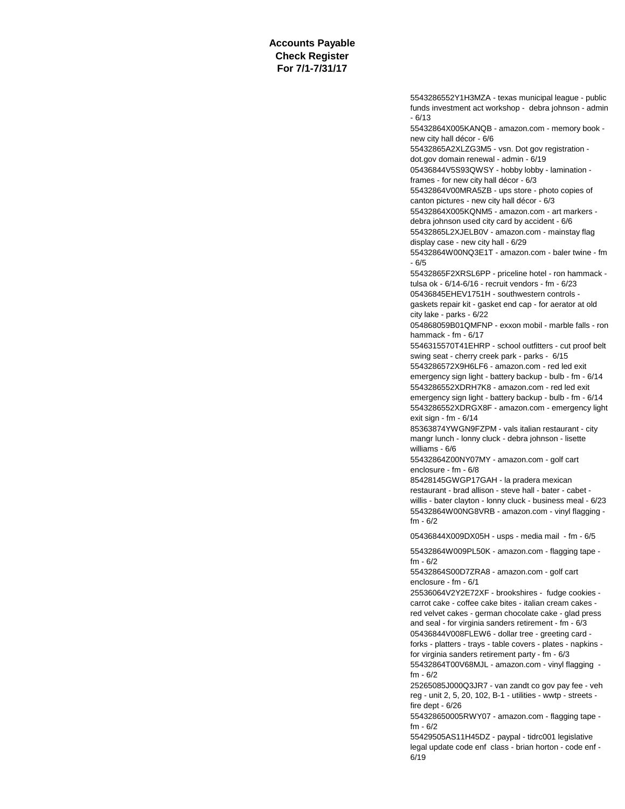5543286552Y1H3MZA - texas municipal league - public funds investment act workshop - debra johnson - admin - 6/13

55432864X005KANQB - amazon.com - memory book new city hall décor - 6/6

55432865A2XLZG3M5 - vsn. Dot gov registration -

dot.gov domain renewal - admin - 6/19

05436844V5S93QWSY - hobby lobby - lamination frames - for new city hall décor - 6/3

55432864V00MRA5ZB - ups store - photo copies of canton pictures - new city hall décor - 6/3

55432864X005KQNM5 - amazon.com - art markers -

debra johnson used city card by accident - 6/6

55432865L2XJELB0V - amazon.com - mainstay flag

display case - new city hall - 6/29

55432864W00NQ3E1T - amazon.com - baler twine - fm - 6/5

55432865F2XRSL6PP - priceline hotel - ron hammack tulsa ok - 6/14-6/16 - recruit vendors - fm - 6/23

05436845EHEV1751H - southwestern controls -

gaskets repair kit - gasket end cap - for aerator at old city lake - parks - 6/22

054868059B01QMFNP - exxon mobil - marble falls - ron hammack - fm - 6/17

5546315570T41EHRP - school outfitters - cut proof belt swing seat - cherry creek park - parks - 6/15 5543286572X9H6LF6 - amazon.com - red led exit

emergency sign light - battery backup - bulb - fm - 6/14 5543286552XDRH7K8 - amazon.com - red led exit

emergency sign light - battery backup - bulb - fm - 6/14 5543286552XDRGX8F - amazon.com - emergency light exit sign - fm - 6/14

85363874YWGN9FZPM - vals italian restaurant - city mangr lunch - lonny cluck - debra johnson - lisette williams - 6/6

55432864Z00NY07MY - amazon.com - golf cart enclosure - fm - 6/8

85428145GWGP17GAH - la pradera mexican restaurant - brad allison - steve hall - bater - cabet willis - bater clayton - lonny cluck - business meal - 6/23 55432864W00NG8VRB - amazon.com - vinyl flagging fm - 6/2

05436844X009DX05H - usps - media mail - fm - 6/5

55432864W009PL50K - amazon.com - flagging tape fm - 6/2

55432864S00D7ZRA8 - amazon.com - golf cart enclosure - fm - 6/1

25536064V2Y2E72XF - brookshires - fudge cookies carrot cake - coffee cake bites - italian cream cakes red velvet cakes - german chocolate cake - glad press and seal - for virginia sanders retirement - fm - 6/3

05436844V008FLEW6 - dollar tree - greeting card -

forks - platters - trays - table covers - plates - napkins for virginia sanders retirement party - fm - 6/3

55432864T00V68MJL - amazon.com - vinyl flagging fm - 6/2

25265085J000Q3JR7 - van zandt co gov pay fee - veh reg - unit 2, 5, 20, 102, B-1 - utilities - wwtp - streets fire dept - 6/26

554328650005RWY07 - amazon.com - flagging tape fm - 6/2

55429505AS11H45DZ - paypal - tidrc001 legislative legal update code enf class - brian horton - code enf - 6/19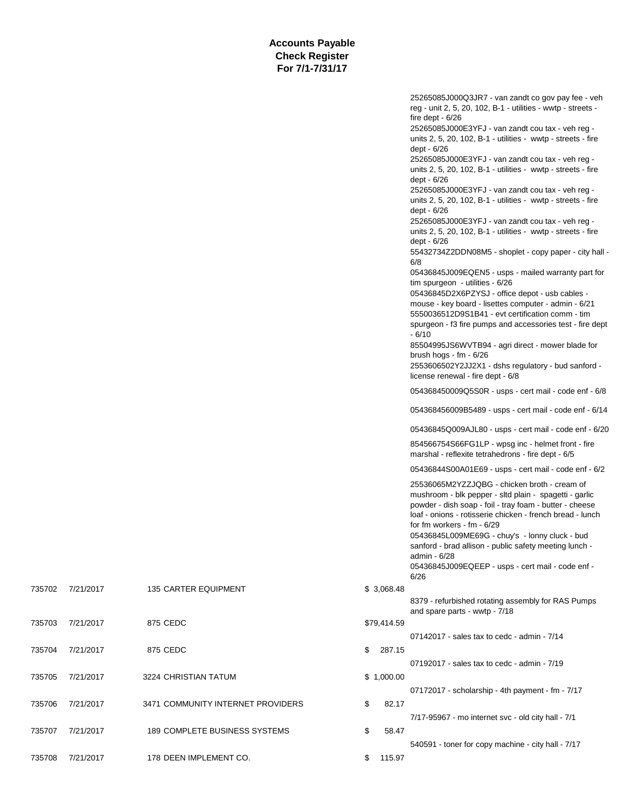|        |           |                                   |              | 25265085J000Q3JR7 - van zandt co gov pay fee - veh<br>reg - unit 2, 5, 20, 102, B-1 - utilities - wwtp - streets -<br>fire dept - $6/26$<br>25265085J000E3YFJ - van zandt cou tax - veh reg -<br>units $2, 5, 20, 102, B-1 - utilities - wwtp - streets - fire$<br>dept - 6/26<br>25265085J000E3YFJ - van zandt cou tax - veh reg -<br>units 2, 5, 20, 102, B-1 - utilities - wwtp - streets - fire<br>dept - 6/26<br>25265085J000E3YFJ - van zandt cou tax - veh reg -<br>units $2, 5, 20, 102, B-1$ - utilities - wwtp - streets - fire<br>dept - 6/26<br>25265085J000E3YFJ - van zandt cou tax - veh reg -<br>units 2, 5, 20, 102, B-1 - utilities - wwtp - streets - fire<br>dept - 6/26<br>55432734Z2DDN08M5 - shoplet - copy paper - city hall -<br>6/8<br>05436845J009EQEN5 - usps - mailed warranty part for<br>tim spurgeon - utilities - 6/26<br>05436845D2X6PZYSJ - office depot - usb cables -<br>mouse - key board - lisettes computer - admin - 6/21<br>5550036512D9S1B41 - evt certification comm - tim<br>spurgeon - f3 fire pumps and accessories test - fire dept<br>$-6/10$<br>85504995JS6WVTB94 - agri direct - mower blade for<br>brush hogs - fm - $6/26$<br>2553606502Y2JJ2X1 - dshs regulatory - bud sanford -<br>license renewal - fire dept - 6/8<br>054368450009Q5S0R - usps - cert mail - code enf - 6/8<br>054368456009B5489 - usps - cert mail - code enf - 6/14<br>05436845Q009AJL80 - usps - cert mail - code enf - 6/20<br>854566754S66FG1LP - wpsg inc - helmet front - fire<br>marshal - reflexite tetrahedrons - fire dept - 6/5 |
|--------|-----------|-----------------------------------|--------------|----------------------------------------------------------------------------------------------------------------------------------------------------------------------------------------------------------------------------------------------------------------------------------------------------------------------------------------------------------------------------------------------------------------------------------------------------------------------------------------------------------------------------------------------------------------------------------------------------------------------------------------------------------------------------------------------------------------------------------------------------------------------------------------------------------------------------------------------------------------------------------------------------------------------------------------------------------------------------------------------------------------------------------------------------------------------------------------------------------------------------------------------------------------------------------------------------------------------------------------------------------------------------------------------------------------------------------------------------------------------------------------------------------------------------------------------------------------------------------------------------------------------------------------------------------------------|
|        |           |                                   |              | 05436844S00A01E69 - usps - cert mail - code enf - 6/2<br>25536065M2YZZJQBG - chicken broth - cream of<br>mushroom - blk pepper - sltd plain - spagetti - garlic<br>powder - dish soap - foil - tray foam - butter - cheese<br>loaf - onions - rotisserie chicken - french bread - lunch<br>for fm workers - fm - 6/29<br>05436845L009ME69G - chuy's - lonny cluck - bud<br>sanford - brad allison - public safety meeting lunch -<br>admin - 6/28<br>05436845J009EQEEP - usps - cert mail - code enf -                                                                                                                                                                                                                                                                                                                                                                                                                                                                                                                                                                                                                                                                                                                                                                                                                                                                                                                                                                                                                                                               |
| 735702 | 7/21/2017 | <b>135 CARTER EQUIPMENT</b>       | \$3,068.48   | 6/26<br>8379 - refurbished rotating assembly for RAS Pumps                                                                                                                                                                                                                                                                                                                                                                                                                                                                                                                                                                                                                                                                                                                                                                                                                                                                                                                                                                                                                                                                                                                                                                                                                                                                                                                                                                                                                                                                                                           |
| 735703 | 7/21/2017 | 875 CEDC                          | \$79,414.59  | and spare parts - wwtp - 7/18                                                                                                                                                                                                                                                                                                                                                                                                                                                                                                                                                                                                                                                                                                                                                                                                                                                                                                                                                                                                                                                                                                                                                                                                                                                                                                                                                                                                                                                                                                                                        |
| 735704 | 7/21/2017 | 875 CEDC                          | \$<br>287.15 | 07142017 - sales tax to cedc - admin - 7/14                                                                                                                                                                                                                                                                                                                                                                                                                                                                                                                                                                                                                                                                                                                                                                                                                                                                                                                                                                                                                                                                                                                                                                                                                                                                                                                                                                                                                                                                                                                          |
| 735705 | 7/21/2017 | 3224 CHRISTIAN TATUM              | \$1,000.00   | 07192017 - sales tax to cedc - admin - 7/19                                                                                                                                                                                                                                                                                                                                                                                                                                                                                                                                                                                                                                                                                                                                                                                                                                                                                                                                                                                                                                                                                                                                                                                                                                                                                                                                                                                                                                                                                                                          |
| 735706 | 7/21/2017 | 3471 COMMUNITY INTERNET PROVIDERS | \$<br>82.17  | 07172017 - scholarship - 4th payment - fm - 7/17                                                                                                                                                                                                                                                                                                                                                                                                                                                                                                                                                                                                                                                                                                                                                                                                                                                                                                                                                                                                                                                                                                                                                                                                                                                                                                                                                                                                                                                                                                                     |
|        |           |                                   |              | 7/17-95967 - mo internet svc - old city hall - 7/1                                                                                                                                                                                                                                                                                                                                                                                                                                                                                                                                                                                                                                                                                                                                                                                                                                                                                                                                                                                                                                                                                                                                                                                                                                                                                                                                                                                                                                                                                                                   |
| 735707 | 7/21/2017 | 189 COMPLETE BUSINESS SYSTEMS     | \$<br>58.47  | 540591 - toner for copy machine - city hall - 7/17                                                                                                                                                                                                                                                                                                                                                                                                                                                                                                                                                                                                                                                                                                                                                                                                                                                                                                                                                                                                                                                                                                                                                                                                                                                                                                                                                                                                                                                                                                                   |
| 735708 | 7/21/2017 | 178 DEEN IMPLEMENT CO.            | \$115.97     |                                                                                                                                                                                                                                                                                                                                                                                                                                                                                                                                                                                                                                                                                                                                                                                                                                                                                                                                                                                                                                                                                                                                                                                                                                                                                                                                                                                                                                                                                                                                                                      |

# 735703 7/21/2017 875 CEDC

- 735704 7/21/2017 875 CEDC
- 735705 7/21/2017 3224 CHRISTIAN TATUM
- 735706 7/21/2017 3471 COMMUNITY INTERN
- 735707 7/21/2017 189 COMPLETE BUSINES
- 735708 7/21/2017 178 DEEN IMPLEMENT C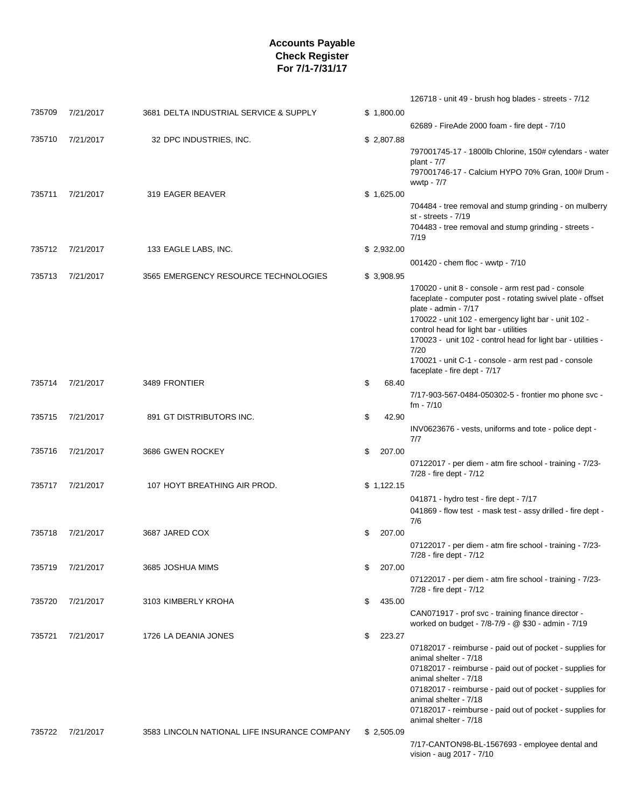|        |           |                                              |            |        | 126718 - unit 49 - brush hog blades - streets - 7/12                                                                                                                                                                                                                                                                                                                                                       |
|--------|-----------|----------------------------------------------|------------|--------|------------------------------------------------------------------------------------------------------------------------------------------------------------------------------------------------------------------------------------------------------------------------------------------------------------------------------------------------------------------------------------------------------------|
| 735709 | 7/21/2017 | 3681 DELTA INDUSTRIAL SERVICE & SUPPLY       | \$1,800.00 |        |                                                                                                                                                                                                                                                                                                                                                                                                            |
|        |           |                                              |            |        | 62689 - FireAde 2000 foam - fire dept - 7/10                                                                                                                                                                                                                                                                                                                                                               |
| 735710 | 7/21/2017 | 32 DPC INDUSTRIES, INC.                      | \$2,807.88 |        | 797001745-17 - 1800lb Chlorine, 150# cylendars - water<br>plant - $7/7$<br>797001746-17 - Calcium HYPO 70% Gran, 100# Drum -<br>wwtp - 7/7                                                                                                                                                                                                                                                                 |
| 735711 | 7/21/2017 | 319 EAGER BEAVER                             | \$1,625.00 |        | 704484 - tree removal and stump grinding - on mulberry<br>st - streets - 7/19<br>704483 - tree removal and stump grinding - streets -<br>7/19                                                                                                                                                                                                                                                              |
| 735712 | 7/21/2017 | 133 EAGLE LABS, INC.                         | \$2,932.00 |        | 001420 - chem floc - wwtp - 7/10                                                                                                                                                                                                                                                                                                                                                                           |
| 735713 | 7/21/2017 | 3565 EMERGENCY RESOURCE TECHNOLOGIES         | \$3,908.95 |        | 170020 - unit 8 - console - arm rest pad - console<br>faceplate - computer post - rotating swivel plate - offset<br>plate - admin - 7/17<br>170022 - unit 102 - emergency light bar - unit 102 -<br>control head for light bar - utilities<br>170023 - unit 102 - control head for light bar - utilities -<br>7/20<br>170021 - unit C-1 - console - arm rest pad - console<br>faceplate - fire dept - 7/17 |
| 735714 | 7/21/2017 | 3489 FRONTIER                                | \$         | 68.40  | 7/17-903-567-0484-050302-5 - frontier mo phone svc -<br>$fm - 7/10$                                                                                                                                                                                                                                                                                                                                        |
| 735715 | 7/21/2017 | 891 GT DISTRIBUTORS INC.                     | \$         | 42.90  | INV0623676 - vests, uniforms and tote - police dept -<br>7/7                                                                                                                                                                                                                                                                                                                                               |
| 735716 | 7/21/2017 | 3686 GWEN ROCKEY                             | \$         | 207.00 | 07122017 - per diem - atm fire school - training - 7/23-<br>7/28 - fire dept - 7/12                                                                                                                                                                                                                                                                                                                        |
| 735717 | 7/21/2017 | 107 HOYT BREATHING AIR PROD.                 | \$1,122.15 |        | 041871 - hydro test - fire dept - 7/17<br>041869 - flow test - mask test - assy drilled - fire dept -<br>7/6                                                                                                                                                                                                                                                                                               |
| 735718 | 7/21/2017 | 3687 JARED COX                               | \$         | 207.00 | 07122017 - per diem - atm fire school - training - 7/23-<br>7/28 - fire dept - 7/12                                                                                                                                                                                                                                                                                                                        |
| 735719 | 7/21/2017 | 3685 JOSHUA MIMS                             | \$         | 207.00 | 07122017 - per diem - atm fire school - training - 7/23-<br>7/28 - fire dept - 7/12                                                                                                                                                                                                                                                                                                                        |
| 735720 | 7/21/2017 | 3103 KIMBERLY KROHA                          | \$         | 435.00 | CAN071917 - prof svc - training finance director -<br>worked on budget - 7/8-7/9 - @ \$30 - admin - 7/19                                                                                                                                                                                                                                                                                                   |
| 735721 | 7/21/2017 | 1726 LA DEANIA JONES                         | \$         | 223.27 | 07182017 - reimburse - paid out of pocket - supplies for<br>animal shelter - 7/18<br>07182017 - reimburse - paid out of pocket - supplies for<br>animal shelter - 7/18<br>07182017 - reimburse - paid out of pocket - supplies for<br>animal shelter - 7/18<br>07182017 - reimburse - paid out of pocket - supplies for<br>animal shelter - 7/18                                                           |
| 735722 | 7/21/2017 | 3583 LINCOLN NATIONAL LIFE INSURANCE COMPANY | \$2,505.09 |        | 7/17-CANTON98-BL-1567693 - employee dental and<br>vision - aug 2017 - 7/10                                                                                                                                                                                                                                                                                                                                 |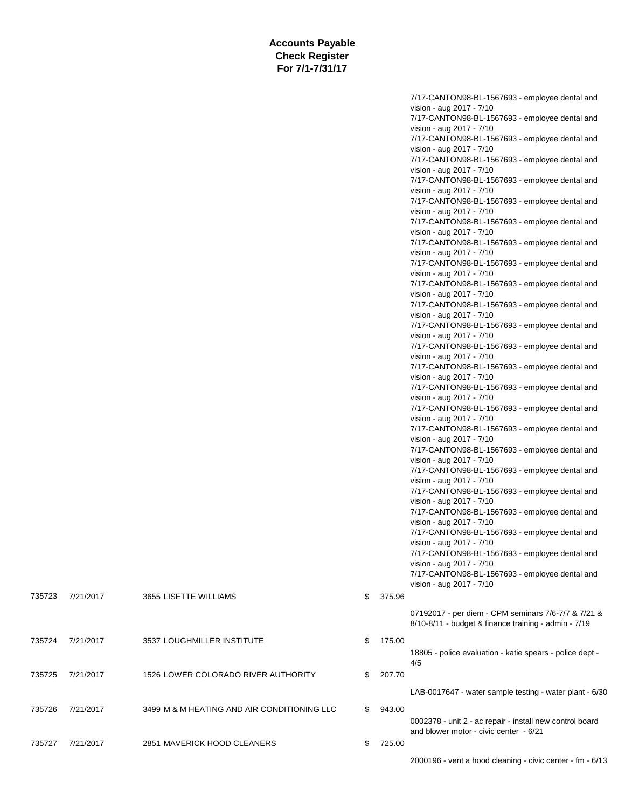|        |           |                                             |              | 7/17-CANTON98-BL-1567693 - employee dental and<br>vision - aug 2017 - 7/10<br>7/17-CANTON98-BL-1567693 - employee dental and<br>vision - aug 2017 - 7/10<br>7/17-CANTON98-BL-1567693 - employee dental and<br>vision - aug 2017 - 7/10<br>7/17-CANTON98-BL-1567693 - employee dental and<br>vision - aug 2017 - 7/10<br>7/17-CANTON98-BL-1567693 - employee dental and<br>vision - aug 2017 - 7/10 |
|--------|-----------|---------------------------------------------|--------------|----------------------------------------------------------------------------------------------------------------------------------------------------------------------------------------------------------------------------------------------------------------------------------------------------------------------------------------------------------------------------------------------------|
|        |           |                                             |              | 7/17-CANTON98-BL-1567693 - employee dental and<br>vision - aug 2017 - 7/10<br>7/17-CANTON98-BL-1567693 - employee dental and<br>vision - aug 2017 - 7/10<br>7/17-CANTON98-BL-1567693 - employee dental and                                                                                                                                                                                         |
|        |           |                                             |              | vision - aug 2017 - 7/10<br>7/17-CANTON98-BL-1567693 - employee dental and<br>vision - aug 2017 - 7/10<br>7/17-CANTON98-BL-1567693 - employee dental and                                                                                                                                                                                                                                           |
|        |           |                                             |              | vision - aug 2017 - 7/10<br>7/17-CANTON98-BL-1567693 - employee dental and<br>vision - aug 2017 - 7/10<br>7/17-CANTON98-BL-1567693 - employee dental and                                                                                                                                                                                                                                           |
|        |           |                                             |              | vision - aug 2017 - 7/10<br>7/17-CANTON98-BL-1567693 - employee dental and<br>vision - aug 2017 - 7/10<br>7/17-CANTON98-BL-1567693 - employee dental and                                                                                                                                                                                                                                           |
|        |           |                                             |              | vision - aug 2017 - 7/10<br>7/17-CANTON98-BL-1567693 - employee dental and<br>vision - aug 2017 - 7/10<br>7/17-CANTON98-BL-1567693 - employee dental and                                                                                                                                                                                                                                           |
|        |           |                                             |              | vision - aug 2017 - 7/10<br>7/17-CANTON98-BL-1567693 - employee dental and<br>vision - aug 2017 - 7/10<br>7/17-CANTON98-BL-1567693 - employee dental and                                                                                                                                                                                                                                           |
|        |           |                                             |              | vision - aug 2017 - 7/10<br>7/17-CANTON98-BL-1567693 - employee dental and<br>vision - aug 2017 - 7/10<br>7/17-CANTON98-BL-1567693 - employee dental and<br>vision - aug 2017 - 7/10                                                                                                                                                                                                               |
|        |           |                                             |              | 7/17-CANTON98-BL-1567693 - employee dental and<br>vision - aug 2017 - 7/10<br>7/17-CANTON98-BL-1567693 - employee dental and<br>vision - aug 2017 - 7/10                                                                                                                                                                                                                                           |
|        |           |                                             |              | 7/17-CANTON98-BL-1567693 - employee dental and<br>vision - aug 2017 - 7/10<br>7/17-CANTON98-BL-1567693 - employee dental and<br>vision - aug 2017 - 7/10                                                                                                                                                                                                                                           |
| 735723 | 7/21/2017 | 3655 LISETTE WILLIAMS                       | \$<br>375.96 | 07192017 - per diem - CPM seminars 7/6-7/7 & 7/21 &                                                                                                                                                                                                                                                                                                                                                |
| 735724 | 7/21/2017 | 3537 LOUGHMILLER INSTITUTE                  | \$<br>175.00 | 8/10-8/11 - budget & finance training - admin - 7/19<br>18805 - police evaluation - katie spears - police dept -                                                                                                                                                                                                                                                                                   |
| 735725 | 7/21/2017 | 1526 LOWER COLORADO RIVER AUTHORITY         | \$<br>207.70 | 4/5<br>LAB-0017647 - water sample testing - water plant - 6/30                                                                                                                                                                                                                                                                                                                                     |
| 735726 | 7/21/2017 | 3499 M & M HEATING AND AIR CONDITIONING LLC | \$<br>943.00 | 0002378 - unit 2 - ac repair - install new control board                                                                                                                                                                                                                                                                                                                                           |
| 735727 | 7/21/2017 | 2851 MAVERICK HOOD CLEANERS                 | \$<br>725.00 | and blower motor - civic center - 6/21                                                                                                                                                                                                                                                                                                                                                             |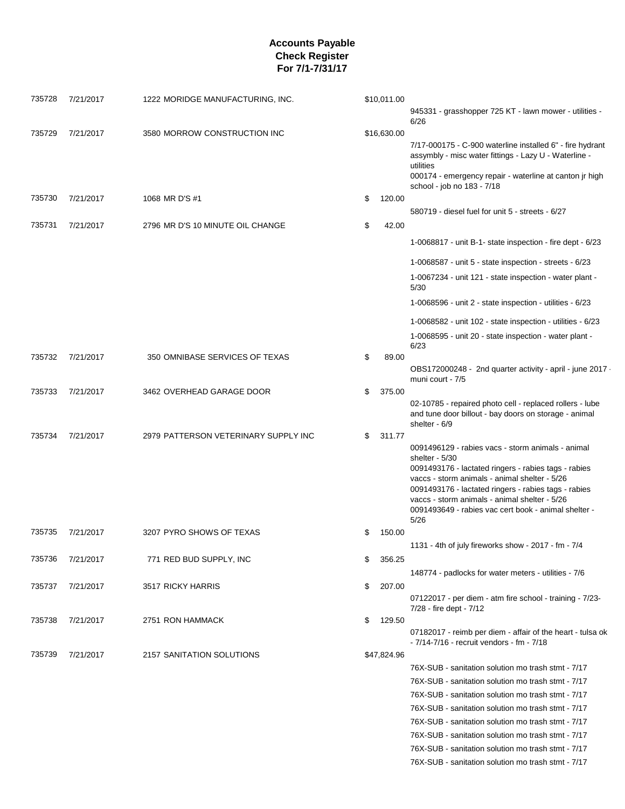| 735728 | 7/21/2017 | 1222 MORIDGE MANUFACTURING, INC.     | \$10,011.00  | 945331 - grasshopper 725 KT - lawn mower - utilities -<br>6/26                                                                                                                                                           |
|--------|-----------|--------------------------------------|--------------|--------------------------------------------------------------------------------------------------------------------------------------------------------------------------------------------------------------------------|
| 735729 |           |                                      |              |                                                                                                                                                                                                                          |
|        | 7/21/2017 | 3580 MORROW CONSTRUCTION INC         | \$16,630.00  | 7/17-000175 - C-900 waterline installed 6" - fire hydrant<br>assymbly - misc water fittings - Lazy U - Waterline -<br>utilities<br>000174 - emergency repair - waterline at canton jr high<br>school - job no 183 - 7/18 |
| 735730 | 7/21/2017 | 1068 MR D'S #1                       | \$<br>120.00 |                                                                                                                                                                                                                          |
|        |           |                                      |              | 580719 - diesel fuel for unit 5 - streets - 6/27                                                                                                                                                                         |
| 735731 | 7/21/2017 | 2796 MR D'S 10 MINUTE OIL CHANGE     | \$<br>42.00  |                                                                                                                                                                                                                          |
|        |           |                                      |              | 1-0068817 - unit B-1- state inspection - fire dept - 6/23                                                                                                                                                                |
|        |           |                                      |              | 1-0068587 - unit 5 - state inspection - streets - $6/23$                                                                                                                                                                 |
|        |           |                                      |              | 1-0067234 - unit 121 - state inspection - water plant -<br>5/30                                                                                                                                                          |
|        |           |                                      |              | 1-0068596 - unit $2$ - state inspection - utilities - $6/23$                                                                                                                                                             |
|        |           |                                      |              | 1-0068582 - unit 102 - state inspection - utilities - $6/23$                                                                                                                                                             |
|        |           |                                      |              | 1-0068595 - unit 20 - state inspection - water plant -                                                                                                                                                                   |
|        |           |                                      |              | 6/23                                                                                                                                                                                                                     |
| 735732 | 7/21/2017 | 350 OMNIBASE SERVICES OF TEXAS       | \$<br>89.00  |                                                                                                                                                                                                                          |
|        |           |                                      |              | OBS172000248 - 2nd quarter activity - april - june 2017 ·<br>muni court - 7/5                                                                                                                                            |
| 735733 | 7/21/2017 | 3462 OVERHEAD GARAGE DOOR            | \$<br>375.00 |                                                                                                                                                                                                                          |
|        |           |                                      |              | 02-10785 - repaired photo cell - replaced rollers - lube<br>and tune door billout - bay doors on storage - animal<br>shelter - 6/9                                                                                       |
| 735734 | 7/21/2017 | 2979 PATTERSON VETERINARY SUPPLY INC | \$<br>311.77 |                                                                                                                                                                                                                          |
|        |           |                                      |              | 0091496129 - rabies vacs - storm animals - animal<br>shelter - 5/30                                                                                                                                                      |
|        |           |                                      |              | 0091493176 - lactated ringers - rabies tags - rabies                                                                                                                                                                     |
|        |           |                                      |              | vaccs - storm animals - animal shelter - 5/26                                                                                                                                                                            |
|        |           |                                      |              | 0091493176 - lactated ringers - rabies tags - rabies<br>vaccs - storm animals - animal shelter - 5/26                                                                                                                    |
|        |           |                                      |              | 0091493649 - rabies vac cert book - animal shelter -<br>5/26                                                                                                                                                             |
| 735735 | 7/21/2017 | 3207 PYRO SHOWS OF TEXAS             | \$<br>150.00 |                                                                                                                                                                                                                          |
|        |           |                                      |              | 1131 - 4th of july fireworks show - 2017 - fm - 7/4                                                                                                                                                                      |
| 735736 | 7/21/2017 | 771 RED BUD SUPPLY, INC              | \$<br>356.25 |                                                                                                                                                                                                                          |
|        |           |                                      |              | 148774 - padlocks for water meters - utilities - 7/6                                                                                                                                                                     |
| 735737 | 7/21/2017 | 3517 RICKY HARRIS                    | \$<br>207.00 |                                                                                                                                                                                                                          |
|        |           |                                      |              | 07122017 - per diem - atm fire school - training - 7/23-<br>7/28 - fire dept - 7/12                                                                                                                                      |
| 735738 | 7/21/2017 | 2751 RON HAMMACK                     | \$<br>129.50 |                                                                                                                                                                                                                          |
|        |           |                                      |              | 07182017 - reimb per diem - affair of the heart - tulsa ok<br>- 7/14-7/16 - recruit vendors - fm - 7/18                                                                                                                  |
| 735739 | 7/21/2017 | 2157 SANITATION SOLUTIONS            | \$47,824.96  |                                                                                                                                                                                                                          |
|        |           |                                      |              | 76X-SUB - sanitation solution mo trash stmt - 7/17                                                                                                                                                                       |
|        |           |                                      |              | 76X-SUB - sanitation solution mo trash stmt - 7/17                                                                                                                                                                       |
|        |           |                                      |              | 76X-SUB - sanitation solution mo trash stmt - 7/17                                                                                                                                                                       |
|        |           |                                      |              | 76X-SUB - sanitation solution mo trash stmt - 7/17                                                                                                                                                                       |
|        |           |                                      |              | 76X-SUB - sanitation solution mo trash stmt - 7/17                                                                                                                                                                       |
|        |           |                                      |              | 76X-SUB - sanitation solution mo trash stmt - 7/17                                                                                                                                                                       |
|        |           |                                      |              | 76X-SUB - sanitation solution mo trash stmt - 7/17                                                                                                                                                                       |
|        |           |                                      |              | 76X-SUB - sanitation solution mo trash stmt - 7/17                                                                                                                                                                       |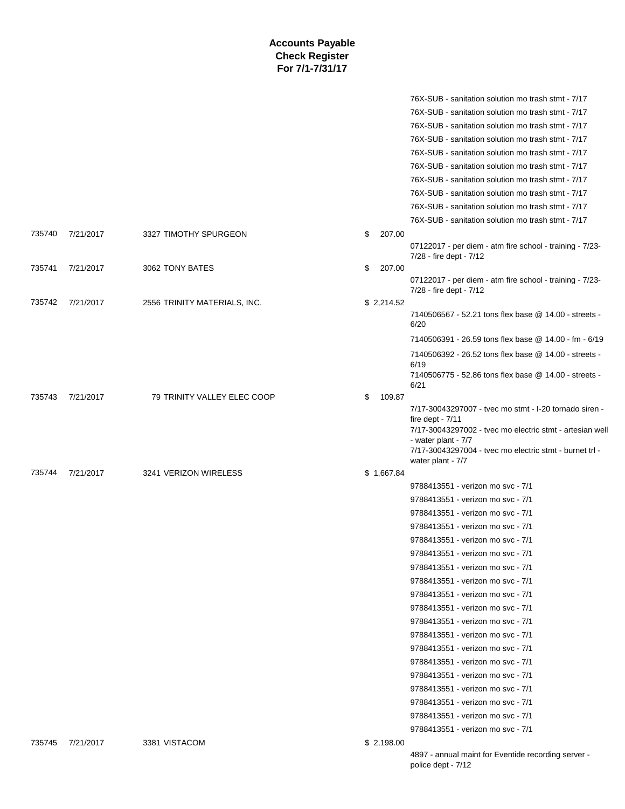|        |           |                              |              | 76X-SUB - sanitation solution mo trash stmt - 7/17                                                                                                                                                                                              |
|--------|-----------|------------------------------|--------------|-------------------------------------------------------------------------------------------------------------------------------------------------------------------------------------------------------------------------------------------------|
|        |           |                              |              | 76X-SUB - sanitation solution mo trash stmt - 7/17                                                                                                                                                                                              |
|        |           |                              |              | 76X-SUB - sanitation solution mo trash stmt - 7/17                                                                                                                                                                                              |
|        |           |                              |              | 76X-SUB - sanitation solution mo trash stmt - 7/17                                                                                                                                                                                              |
|        |           |                              |              | 76X-SUB - sanitation solution mo trash stmt - 7/17                                                                                                                                                                                              |
|        |           |                              |              | 76X-SUB - sanitation solution mo trash stmt - 7/17                                                                                                                                                                                              |
|        |           |                              |              | 76X-SUB - sanitation solution mo trash stmt - 7/17                                                                                                                                                                                              |
|        |           |                              |              | 76X-SUB - sanitation solution mo trash stmt - 7/17                                                                                                                                                                                              |
|        |           |                              |              | 76X-SUB - sanitation solution mo trash stmt - 7/17                                                                                                                                                                                              |
|        |           |                              |              |                                                                                                                                                                                                                                                 |
| 735740 |           | 3327 TIMOTHY SPURGEON        | 207.00       | 76X-SUB - sanitation solution mo trash stmt - 7/17                                                                                                                                                                                              |
|        | 7/21/2017 |                              | \$           | 07122017 - per diem - atm fire school - training - 7/23-                                                                                                                                                                                        |
|        |           |                              |              | 7/28 - fire dept - 7/12                                                                                                                                                                                                                         |
| 735741 | 7/21/2017 | 3062 TONY BATES              | \$<br>207.00 |                                                                                                                                                                                                                                                 |
|        |           |                              |              | 07122017 - per diem - atm fire school - training - 7/23-<br>7/28 - fire dept - 7/12                                                                                                                                                             |
| 735742 | 7/21/2017 | 2556 TRINITY MATERIALS, INC. | \$2,214.52   |                                                                                                                                                                                                                                                 |
|        |           |                              |              | 7140506567 - 52.21 tons flex base @ 14.00 - streets -<br>6/20                                                                                                                                                                                   |
|        |           |                              |              | 7140506391 - 26.59 tons flex base @ 14.00 - fm - 6/19                                                                                                                                                                                           |
|        |           |                              |              | 7140506392 - 26.52 tons flex base @ 14.00 - streets -<br>6/19                                                                                                                                                                                   |
|        |           |                              |              | 7140506775 - 52.86 tons flex base @ 14.00 - streets -<br>6/21                                                                                                                                                                                   |
| 735743 | 7/21/2017 | 79 TRINITY VALLEY ELEC COOP  | 109.87<br>\$ |                                                                                                                                                                                                                                                 |
|        |           |                              |              | 7/17-30043297007 - tyec mo stmt - I-20 tornado siren -<br>fire dept - $7/11$<br>7/17-30043297002 - tvec mo electric stmt - artesian well<br>- water plant - 7/7<br>7/17-30043297004 - tvec mo electric stmt - burnet trl -<br>water plant - 7/7 |
| 735744 | 7/21/2017 | 3241 VERIZON WIRELESS        | \$1,667.84   |                                                                                                                                                                                                                                                 |
|        |           |                              |              | 9788413551 - verizon mo svc - 7/1                                                                                                                                                                                                               |
|        |           |                              |              | 9788413551 - verizon mo svc - 7/1                                                                                                                                                                                                               |
|        |           |                              |              | 9788413551 - verizon mo svc - 7/1                                                                                                                                                                                                               |
|        |           |                              |              | 9788413551 - verizon mo svc - 7/1                                                                                                                                                                                                               |
|        |           |                              |              | 9788413551 - verizon mo svc - 7/1                                                                                                                                                                                                               |
|        |           |                              |              | 9788413551 - verizon mo svc - 7/1                                                                                                                                                                                                               |
|        |           |                              |              | 9788413551 - verizon mo svc - 7/1                                                                                                                                                                                                               |
|        |           |                              |              | 9788413551 - verizon mo svc - 7/1                                                                                                                                                                                                               |
|        |           |                              |              | 9788413551 - verizon mo svc - 7/1                                                                                                                                                                                                               |
|        |           |                              |              | 9788413551 - verizon mo svc - 7/1                                                                                                                                                                                                               |
|        |           |                              |              | 9788413551 - verizon mo svc - 7/1                                                                                                                                                                                                               |
|        |           |                              |              | 9788413551 - verizon mo svc - 7/1                                                                                                                                                                                                               |
|        |           |                              |              | 9788413551 - verizon mo svc - 7/1                                                                                                                                                                                                               |
|        |           |                              |              | 9788413551 - verizon mo svc - 7/1                                                                                                                                                                                                               |
|        |           |                              |              |                                                                                                                                                                                                                                                 |
|        |           |                              |              | 9788413551 - verizon mo svc - 7/1                                                                                                                                                                                                               |
|        |           |                              |              | 9788413551 - verizon mo svc - 7/1                                                                                                                                                                                                               |
|        |           |                              |              | 9788413551 - verizon mo svc - 7/1                                                                                                                                                                                                               |
|        |           |                              |              | 9788413551 - verizon mo svc - 7/1                                                                                                                                                                                                               |
|        |           |                              |              | 9788413551 - verizon mo svc - 7/1                                                                                                                                                                                                               |
| 735745 | 7/21/2017 | 3381 VISTACOM                | \$2,198.00   |                                                                                                                                                                                                                                                 |
|        |           |                              |              | 4897 - annual maint for Eventide recording server -                                                                                                                                                                                             |

police dept - 7/12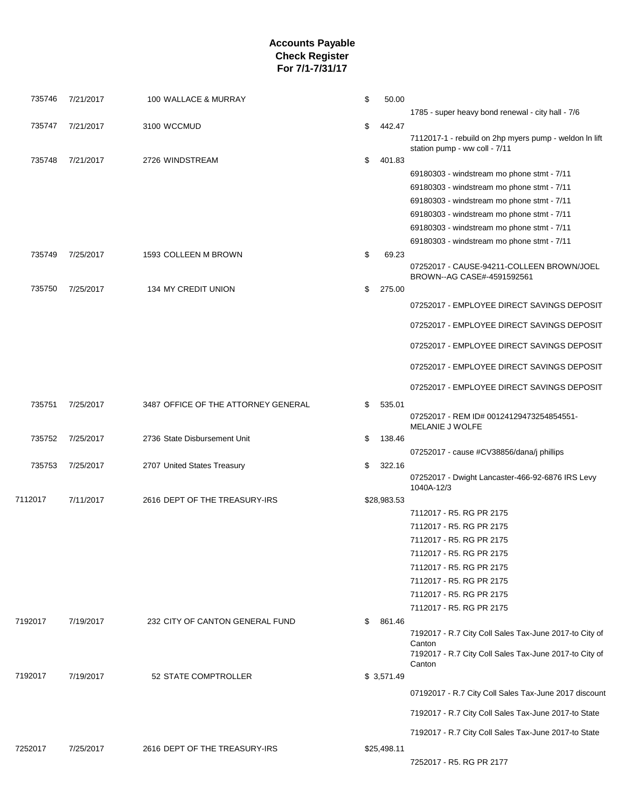| 735746  | 7/21/2017 | 100 WALLACE & MURRAY                | \$<br>50.00  |                                                                                          |
|---------|-----------|-------------------------------------|--------------|------------------------------------------------------------------------------------------|
|         |           |                                     |              | 1785 - super heavy bond renewal - city hall - 7/6                                        |
| 735747  | 7/21/2017 | 3100 WCCMUD                         | \$<br>442.47 | 7112017-1 - rebuild on 2hp myers pump - weldon In lift                                   |
| 735748  | 7/21/2017 | 2726 WINDSTREAM                     | \$<br>401.83 | station pump - ww coll - 7/11                                                            |
|         |           |                                     |              | 69180303 - windstream mo phone stmt - 7/11                                               |
|         |           |                                     |              | 69180303 - windstream mo phone stmt - 7/11                                               |
|         |           |                                     |              | 69180303 - windstream mo phone stmt - 7/11                                               |
|         |           |                                     |              | 69180303 - windstream mo phone stmt - 7/11                                               |
|         |           |                                     |              |                                                                                          |
|         |           |                                     |              | 69180303 - windstream mo phone stmt - 7/11<br>69180303 - windstream mo phone stmt - 7/11 |
| 735749  | 7/25/2017 |                                     | \$<br>69.23  |                                                                                          |
|         |           | 1593 COLLEEN M BROWN                |              | 07252017 - CAUSE-94211-COLLEEN BROWN/JOEL<br>BROWN--AG CASE#-4591592561                  |
| 735750  | 7/25/2017 | 134 MY CREDIT UNION                 | \$<br>275.00 |                                                                                          |
|         |           |                                     |              | 07252017 - EMPLOYEE DIRECT SAVINGS DEPOSIT                                               |
|         |           |                                     |              | 07252017 - EMPLOYEE DIRECT SAVINGS DEPOSIT                                               |
|         |           |                                     |              | 07252017 - EMPLOYEE DIRECT SAVINGS DEPOSIT                                               |
|         |           |                                     |              | 07252017 - EMPLOYEE DIRECT SAVINGS DEPOSIT                                               |
|         |           |                                     |              | 07252017 - EMPLOYEE DIRECT SAVINGS DEPOSIT                                               |
| 735751  | 7/25/2017 | 3487 OFFICE OF THE ATTORNEY GENERAL | \$<br>535.01 | 07252017 - REM ID# 00124129473254854551-<br>MELANIE J WOLFE                              |
| 735752  | 7/25/2017 | 2736 State Disbursement Unit        | \$<br>138.46 |                                                                                          |
|         |           |                                     |              | 07252017 - cause #CV38856/dana/j phillips                                                |
| 735753  | 7/25/2017 | 2707 United States Treasury         | \$<br>322.16 |                                                                                          |
|         |           |                                     |              | 07252017 - Dwight Lancaster-466-92-6876 IRS Levy<br>1040A-12/3                           |
| 7112017 | 7/11/2017 | 2616 DEPT OF THE TREASURY-IRS       | \$28,983.53  |                                                                                          |
|         |           |                                     |              | 7112017 - R5. RG PR 2175                                                                 |
|         |           |                                     |              | 7112017 - R5, RG PR 2175                                                                 |
|         |           |                                     |              | 7112017 - R5. RG PR 2175                                                                 |
|         |           |                                     |              | 7112017 - R5. RG PR 2175                                                                 |
|         |           |                                     |              | 7112017 - R5, RG PR 2175                                                                 |
|         |           |                                     |              | 7112017 - R5. RG PR 2175                                                                 |
|         |           |                                     |              | 7112017 - R5. RG PR 2175                                                                 |
|         |           |                                     |              | 7112017 - R5. RG PR 2175                                                                 |
| 7192017 | 7/19/2017 | 232 CITY OF CANTON GENERAL FUND     | \$<br>861.46 |                                                                                          |
|         |           |                                     |              | 7192017 - R.7 City Coll Sales Tax-June 2017-to City of                                   |
|         |           |                                     |              | Canton<br>7192017 - R.7 City Coll Sales Tax-June 2017-to City of<br>Canton               |
| 7192017 | 7/19/2017 | 52 STATE COMPTROLLER                | \$3,571.49   |                                                                                          |
|         |           |                                     |              | 07192017 - R.7 City Coll Sales Tax-June 2017 discount                                    |
|         |           |                                     |              | 7192017 - R.7 City Coll Sales Tax-June 2017-to State                                     |
|         |           |                                     |              | 7192017 - R.7 City Coll Sales Tax-June 2017-to State                                     |
| 7252017 | 7/25/2017 | 2616 DEPT OF THE TREASURY-IRS       | \$25,498.11  |                                                                                          |
|         |           |                                     |              | 7252017 - R5. RG PR 2177                                                                 |